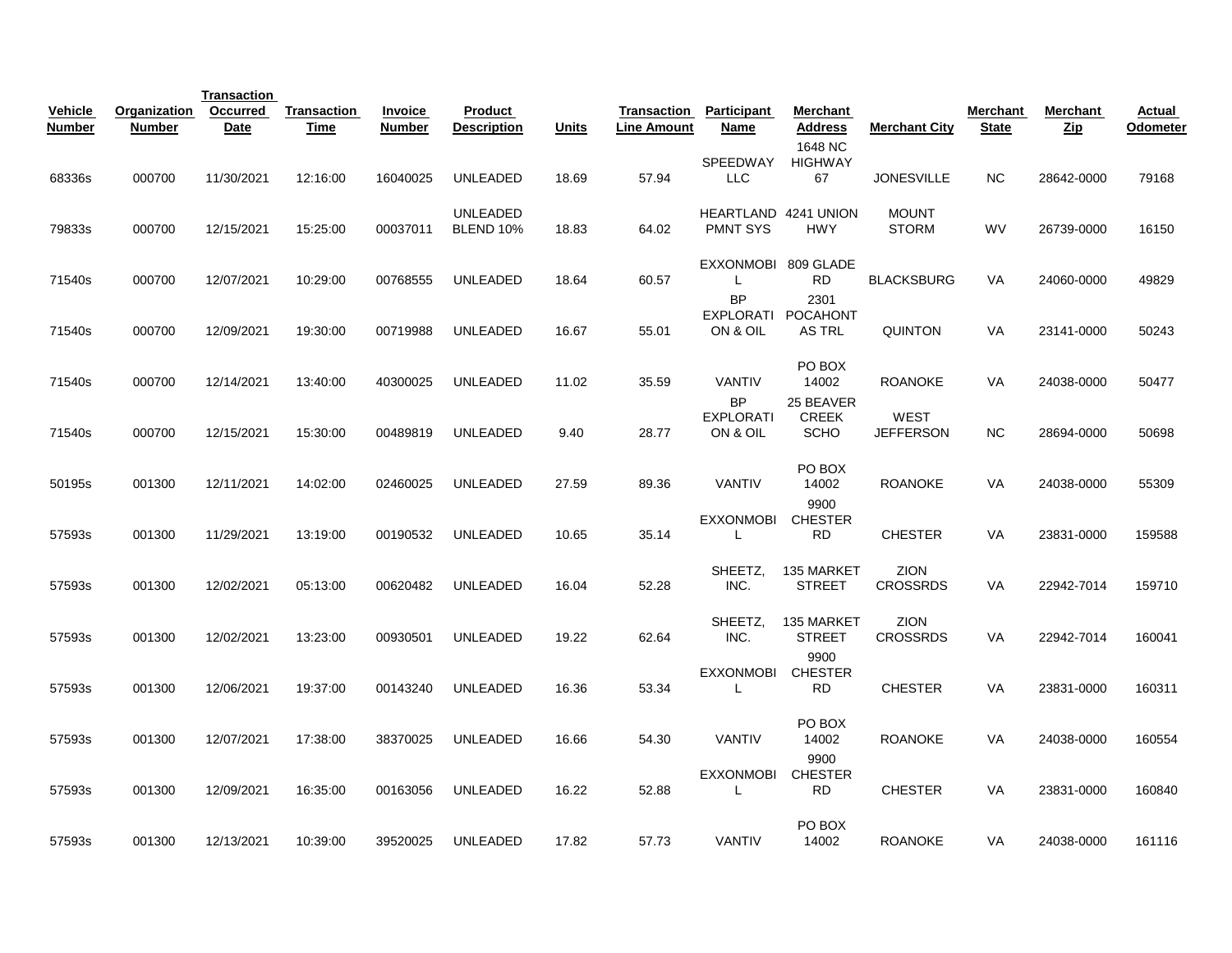|                   |                        | <b>Transaction</b>             |                            |                                 |                                      |              |                                   |                                           |                                          |                                |                          |                        |                    |
|-------------------|------------------------|--------------------------------|----------------------------|---------------------------------|--------------------------------------|--------------|-----------------------------------|-------------------------------------------|------------------------------------------|--------------------------------|--------------------------|------------------------|--------------------|
| Vehicle<br>Number | Organization<br>Number | <b>Occurred</b><br><b>Date</b> | <b>Transaction</b><br>Time | <b>Invoice</b><br><b>Number</b> | <b>Product</b><br><b>Description</b> | <b>Units</b> | Transaction<br><b>Line Amount</b> | <b>Participant</b><br>Name                | Merchant<br><b>Address</b><br>1648 NC    | <b>Merchant City</b>           | Merchant<br><b>State</b> | Merchant<br><b>Zip</b> | Actual<br>Odometer |
| 68336s            | 000700                 | 11/30/2021                     | 12:16:00                   | 16040025                        | <b>UNLEADED</b>                      | 18.69        | 57.94                             | SPEEDWAY<br><b>LLC</b>                    | <b>HIGHWAY</b><br>67                     | <b>JONESVILLE</b>              | <b>NC</b>                | 28642-0000             | 79168              |
| 79833s            | 000700                 | 12/15/2021                     | 15:25:00                   | 00037011                        | <b>UNLEADED</b><br><b>BLEND 10%</b>  | 18.83        | 64.02                             | HEARTLAND 4241 UNION<br><b>PMNT SYS</b>   | <b>HWY</b>                               | <b>MOUNT</b><br><b>STORM</b>   | WV                       | 26739-0000             | 16150              |
| 71540s            | 000700                 | 12/07/2021                     | 10:29:00                   | 00768555                        | <b>UNLEADED</b>                      | 18.64        | 60.57                             | <b>EXXONMOBI</b><br>L                     | 809 GLADE<br>RD.                         | <b>BLACKSBURG</b>              | VA                       | 24060-0000             | 49829              |
| 71540s            | 000700                 | 12/09/2021                     | 19:30:00                   | 00719988                        | <b>UNLEADED</b>                      | 16.67        | 55.01                             | <b>BP</b><br>ON & OIL                     | 2301<br>EXPLORATI POCAHONT<br>AS TRL     | <b>QUINTON</b>                 | VA                       | 23141-0000             | 50243              |
| 71540s            | 000700                 | 12/14/2021                     | 13:40:00                   | 40300025                        | <b>UNLEADED</b>                      | 11.02        | 35.59                             | <b>VANTIV</b>                             | PO BOX<br>14002                          | <b>ROANOKE</b>                 | VA                       | 24038-0000             | 50477              |
| 71540s            | 000700                 | 12/15/2021                     | 15:30:00                   | 00489819                        | UNLEADED                             | 9.40         | 28.77                             | <b>BP</b><br><b>EXPLORATI</b><br>ON & OIL | 25 BEAVER<br><b>CREEK</b><br><b>SCHO</b> | WEST<br><b>JEFFERSON</b>       | <b>NC</b>                | 28694-0000             | 50698              |
| 50195s            | 001300                 | 12/11/2021                     | 14:02:00                   | 02460025                        | <b>UNLEADED</b>                      | 27.59        | 89.36                             | <b>VANTIV</b>                             | PO BOX<br>14002                          | <b>ROANOKE</b>                 | VA                       | 24038-0000             | 55309              |
| 57593s            | 001300                 | 11/29/2021                     | 13:19:00                   | 00190532                        | <b>UNLEADED</b>                      | 10.65        | 35.14                             | EXXONMOBI<br>L                            | 9900<br><b>CHESTER</b><br><b>RD</b>      | <b>CHESTER</b>                 | VA                       | 23831-0000             | 159588             |
| 57593s            | 001300                 | 12/02/2021                     | 05:13:00                   | 00620482                        | <b>UNLEADED</b>                      | 16.04        | 52.28                             | SHEETZ,<br>INC.                           | 135 MARKET<br><b>STREET</b>              | ZION<br><b>CROSSRDS</b>        | VA                       | 22942-7014             | 159710             |
| 57593s            | 001300                 | 12/02/2021                     | 13:23:00                   | 00930501                        | <b>UNLEADED</b>                      | 19.22        | 62.64                             | SHEETZ,<br>INC.                           | 135 MARKET<br><b>STREET</b>              | <b>ZION</b><br><b>CROSSRDS</b> | VA                       | 22942-7014             | 160041             |
| 57593s            | 001300                 | 12/06/2021                     | 19:37:00                   | 00143240                        | <b>UNLEADED</b>                      | 16.36        | 53.34                             | <b>EXXONMOBI</b><br>L                     | 9900<br><b>CHESTER</b><br><b>RD</b>      | <b>CHESTER</b>                 | VA                       | 23831-0000             | 160311             |
| 57593s            | 001300                 | 12/07/2021                     | 17:38:00                   | 38370025                        | <b>UNLEADED</b>                      | 16.66        | 54.30                             | <b>VANTIV</b>                             | PO BOX<br>14002                          | <b>ROANOKE</b>                 | VA                       | 24038-0000             | 160554             |
| 57593s            | 001300                 | 12/09/2021                     | 16:35:00                   | 00163056                        | <b>UNLEADED</b>                      | 16.22        | 52.88                             | <b>EXXONMOBI</b><br>L                     | 9900<br><b>CHESTER</b><br><b>RD</b>      | <b>CHESTER</b>                 | VA                       | 23831-0000             | 160840             |
| 57593s            | 001300                 | 12/13/2021                     | 10:39:00                   | 39520025                        | <b>UNLEADED</b>                      | 17.82        | 57.73                             | <b>VANTIV</b>                             | PO BOX<br>14002                          | <b>ROANOKE</b>                 | VA                       | 24038-0000             | 161116             |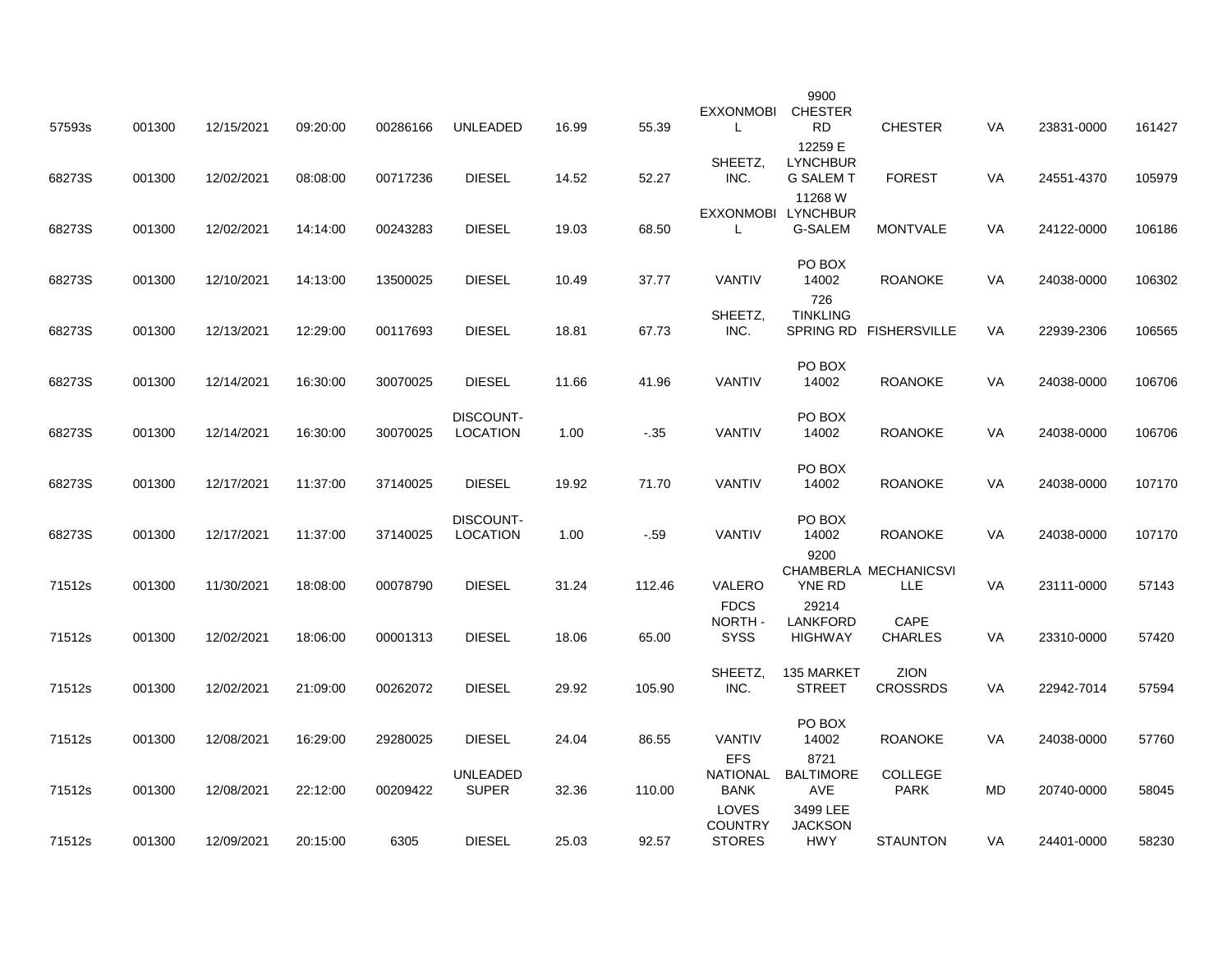| 57593s | 001300 | 12/15/2021 | 09:20:00 | 00286166 | <b>UNLEADED</b>              | 16.99 | 55.39  | <b>EXXONMOBI</b><br>L            | 9900<br><b>CHESTER</b><br><b>RD</b>            | <b>CHESTER</b>                      | VA        | 23831-0000 | 161427 |
|--------|--------|------------|----------|----------|------------------------------|-------|--------|----------------------------------|------------------------------------------------|-------------------------------------|-----------|------------|--------|
| 68273S | 001300 | 12/02/2021 | 08:08:00 | 00717236 | <b>DIESEL</b>                | 14.52 | 52.27  | SHEETZ,<br>INC.                  | 12259 E<br><b>LYNCHBUR</b><br><b>G SALEM T</b> | <b>FOREST</b>                       | <b>VA</b> | 24551-4370 | 105979 |
| 68273S | 001300 | 12/02/2021 | 14:14:00 | 00243283 | <b>DIESEL</b>                | 19.03 | 68.50  | EXXONMOBI LYNCHBUR<br>L          | 11268 W<br>G-SALEM                             | <b>MONTVALE</b>                     | VA        | 24122-0000 | 106186 |
| 68273S | 001300 | 12/10/2021 | 14:13:00 | 13500025 | <b>DIESEL</b>                | 10.49 | 37.77  | <b>VANTIV</b>                    | PO BOX<br>14002                                | <b>ROANOKE</b>                      | <b>VA</b> | 24038-0000 | 106302 |
| 68273S | 001300 | 12/13/2021 | 12:29:00 | 00117693 | <b>DIESEL</b>                | 18.81 | 67.73  | SHEETZ,<br>INC.                  | 726<br><b>TINKLING</b>                         | SPRING RD FISHERSVILLE              | VA        | 22939-2306 | 106565 |
| 68273S | 001300 | 12/14/2021 | 16:30:00 | 30070025 | <b>DIESEL</b>                | 11.66 | 41.96  | <b>VANTIV</b>                    | PO BOX<br>14002                                | <b>ROANOKE</b>                      | VA        | 24038-0000 | 106706 |
| 68273S | 001300 | 12/14/2021 | 16:30:00 | 30070025 | DISCOUNT-<br><b>LOCATION</b> | 1.00  | $-.35$ | <b>VANTIV</b>                    | PO BOX<br>14002                                | <b>ROANOKE</b>                      | <b>VA</b> | 24038-0000 | 106706 |
| 68273S | 001300 | 12/17/2021 | 11:37:00 | 37140025 | <b>DIESEL</b>                | 19.92 | 71.70  | <b>VANTIV</b>                    | PO BOX<br>14002                                | <b>ROANOKE</b>                      | <b>VA</b> | 24038-0000 | 107170 |
| 68273S | 001300 | 12/17/2021 | 11:37:00 | 37140025 | DISCOUNT-<br><b>LOCATION</b> | 1.00  | $-.59$ | <b>VANTIV</b>                    | PO BOX<br>14002<br>9200                        | <b>ROANOKE</b>                      | VA        | 24038-0000 | 107170 |
| 71512s | 001300 | 11/30/2021 | 18:08:00 | 00078790 | <b>DIESEL</b>                | 31.24 | 112.46 | VALERO<br><b>FDCS</b>            | YNE RD<br>29214                                | CHAMBERLA MECHANICSVI<br><b>LLE</b> | <b>VA</b> | 23111-0000 | 57143  |
| 71512s | 001300 | 12/02/2021 | 18:06:00 | 00001313 | <b>DIESEL</b>                | 18.06 | 65.00  | NORTH-<br><b>SYSS</b>            | <b>LANKFORD</b><br><b>HIGHWAY</b>              | <b>CAPE</b><br><b>CHARLES</b>       | VA        | 23310-0000 | 57420  |
| 71512s | 001300 | 12/02/2021 | 21:09:00 | 00262072 | <b>DIESEL</b>                | 29.92 | 105.90 | SHEETZ,<br>INC.                  | 135 MARKET<br><b>STREET</b>                    | <b>ZION</b><br><b>CROSSRDS</b>      | VA        | 22942-7014 | 57594  |
| 71512s | 001300 | 12/08/2021 | 16:29:00 | 29280025 | <b>DIESEL</b>                | 24.04 | 86.55  | <b>VANTIV</b><br><b>EFS</b>      | PO BOX<br>14002<br>8721                        | <b>ROANOKE</b>                      | VA        | 24038-0000 | 57760  |
| 71512s | 001300 | 12/08/2021 | 22:12:00 | 00209422 | UNLEADED<br><b>SUPER</b>     | 32.36 | 110.00 | NATIONAL<br><b>BANK</b><br>LOVES | <b>BALTIMORE</b><br><b>AVE</b><br>3499 LEE     | <b>COLLEGE</b><br><b>PARK</b>       | MD        | 20740-0000 | 58045  |
| 71512s | 001300 | 12/09/2021 | 20:15:00 | 6305     | <b>DIESEL</b>                | 25.03 | 92.57  | <b>COUNTRY</b><br><b>STORES</b>  | <b>JACKSON</b><br><b>HWY</b>                   | <b>STAUNTON</b>                     | VA        | 24401-0000 | 58230  |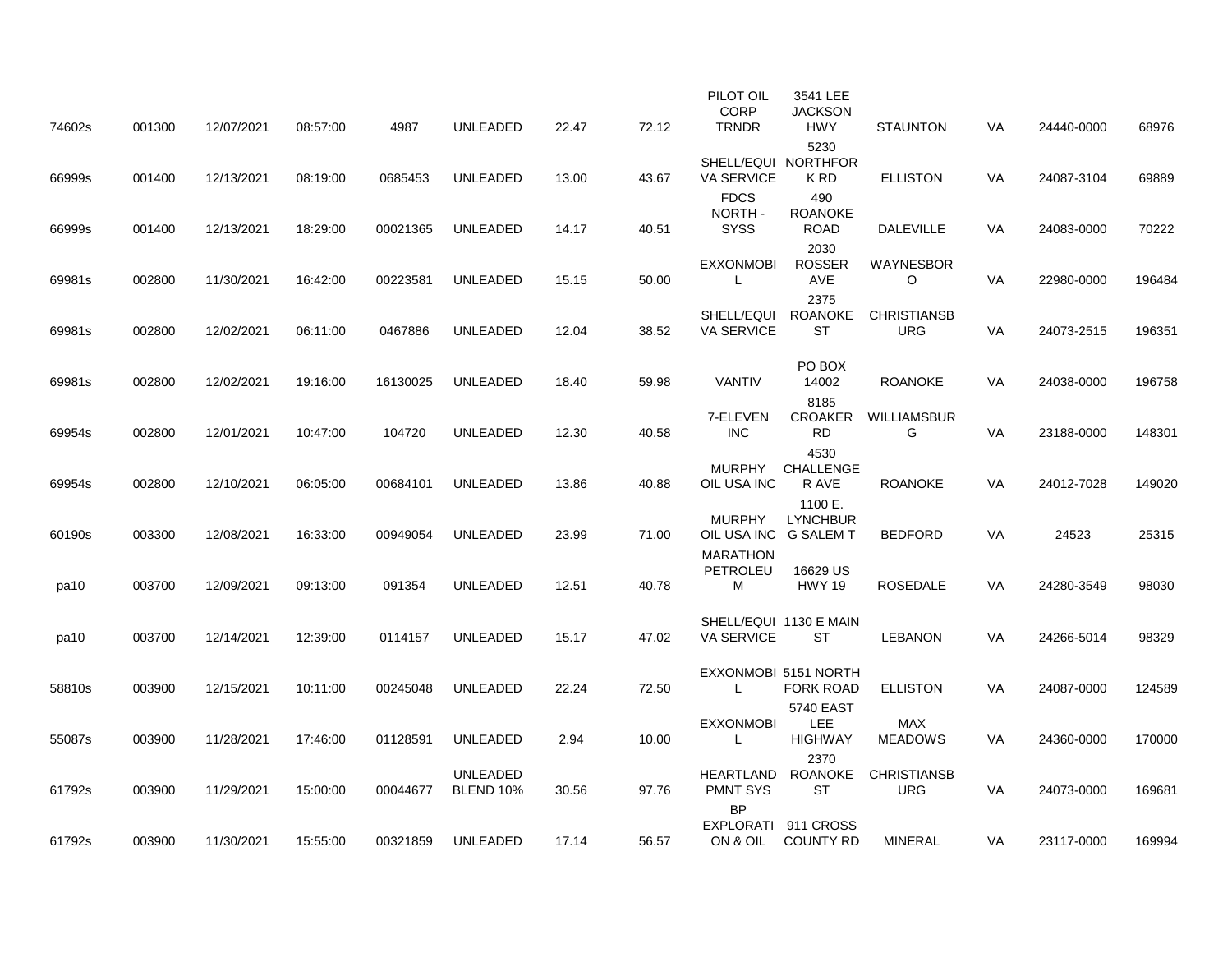| 74602s | 001300 | 12/07/2021 | 08:57:00 | 4987     | <b>UNLEADED</b>                     | 22.47 | 72.12 | PILOT OIL<br><b>CORP</b><br><b>TRNDR</b> | 3541 LEE<br><b>JACKSON</b><br><b>HWY</b>  | <b>STAUNTON</b>                  | VA        | 24440-0000 | 68976  |
|--------|--------|------------|----------|----------|-------------------------------------|-------|-------|------------------------------------------|-------------------------------------------|----------------------------------|-----------|------------|--------|
| 66999s | 001400 | 12/13/2021 | 08:19:00 | 0685453  | <b>UNLEADED</b>                     | 13.00 | 43.67 | VA SERVICE                               | 5230<br>SHELL/EQUI NORTHFOR<br>K RD       | <b>ELLISTON</b>                  | VA        | 24087-3104 | 69889  |
| 66999s | 001400 | 12/13/2021 | 18:29:00 | 00021365 | <b>UNLEADED</b>                     | 14.17 | 40.51 | <b>FDCS</b><br>NORTH-<br><b>SYSS</b>     | 490<br><b>ROANOKE</b><br><b>ROAD</b>      | <b>DALEVILLE</b>                 | <b>VA</b> | 24083-0000 | 70222  |
| 69981s | 002800 | 11/30/2021 | 16:42:00 | 00223581 | UNLEADED                            | 15.15 | 50.00 | <b>EXXONMOBI</b><br>L                    | 2030<br><b>ROSSER</b><br><b>AVE</b>       | <b>WAYNESBOR</b><br>$\circ$      | <b>VA</b> | 22980-0000 | 196484 |
| 69981s | 002800 | 12/02/2021 | 06:11:00 | 0467886  | <b>UNLEADED</b>                     | 12.04 | 38.52 | SHELL/EQUI<br><b>VA SERVICE</b>          | 2375<br>ROANOKE<br><b>ST</b>              | <b>CHRISTIANSB</b><br><b>URG</b> | VA        | 24073-2515 | 196351 |
| 69981s | 002800 | 12/02/2021 | 19:16:00 | 16130025 | <b>UNLEADED</b>                     | 18.40 | 59.98 | <b>VANTIV</b>                            | PO BOX<br>14002                           | <b>ROANOKE</b>                   | VA        | 24038-0000 | 196758 |
| 69954s | 002800 | 12/01/2021 | 10:47:00 | 104720   | <b>UNLEADED</b>                     | 12.30 | 40.58 | 7-ELEVEN<br><b>INC</b>                   | 8185<br><b>CROAKER</b><br><b>RD</b>       | WILLIAMSBUR<br>G                 | VA        | 23188-0000 | 148301 |
| 69954s | 002800 | 12/10/2021 | 06:05:00 | 00684101 | UNLEADED                            | 13.86 | 40.88 | <b>MURPHY</b><br>OIL USA INC             | 4530<br><b>CHALLENGE</b><br>R AVE         | <b>ROANOKE</b>                   | VA        | 24012-7028 | 149020 |
| 60190s | 003300 | 12/08/2021 | 16:33:00 | 00949054 | <b>UNLEADED</b>                     | 23.99 | 71.00 | <b>MURPHY</b><br>OIL USA INC G SALEM T   | 1100 E.<br><b>LYNCHBUR</b>                | <b>BEDFORD</b>                   | VA        | 24523      | 25315  |
| pa10   | 003700 | 12/09/2021 | 09:13:00 | 091354   | <b>UNLEADED</b>                     | 12.51 | 40.78 | <b>MARATHON</b><br>PETROLEU<br>м         | 16629 US<br><b>HWY 19</b>                 | <b>ROSEDALE</b>                  | <b>VA</b> | 24280-3549 | 98030  |
| pa10   | 003700 | 12/14/2021 | 12:39:00 | 0114157  | <b>UNLEADED</b>                     | 15.17 | 47.02 | <b>VA SERVICE</b>                        | SHELL/EQUI 1130 E MAIN<br>ST              | <b>LEBANON</b>                   | VA        | 24266-5014 | 98329  |
| 58810s | 003900 | 12/15/2021 | 10:11:00 | 00245048 | UNLEADED                            | 22.24 | 72.50 | L                                        | EXXONMOBI 5151 NORTH<br><b>FORK ROAD</b>  | <b>ELLISTON</b>                  | VA        | 24087-0000 | 124589 |
| 55087s | 003900 | 11/28/2021 | 17:46:00 | 01128591 | UNLEADED                            | 2.94  | 10.00 | <b>EXXONMOBI</b><br>L                    | 5740 EAST<br><b>LEE</b><br><b>HIGHWAY</b> | <b>MAX</b><br><b>MEADOWS</b>     | VA        | 24360-0000 | 170000 |
| 61792s | 003900 | 11/29/2021 | 15:00:00 | 00044677 | <b>UNLEADED</b><br><b>BLEND 10%</b> | 30.56 | 97.76 | <b>HEARTLAND</b><br><b>PMNT SYS</b>      | 2370<br>ROANOKE<br><b>ST</b>              | <b>CHRISTIANSB</b><br><b>URG</b> | <b>VA</b> | 24073-0000 | 169681 |
| 61792s | 003900 | 11/30/2021 | 15:55:00 | 00321859 | UNLEADED                            | 17.14 | 56.57 | <b>BP</b>                                | EXPLORATI 911 CROSS<br>ON & OIL COUNTY RD | <b>MINERAL</b>                   | VA        | 23117-0000 | 169994 |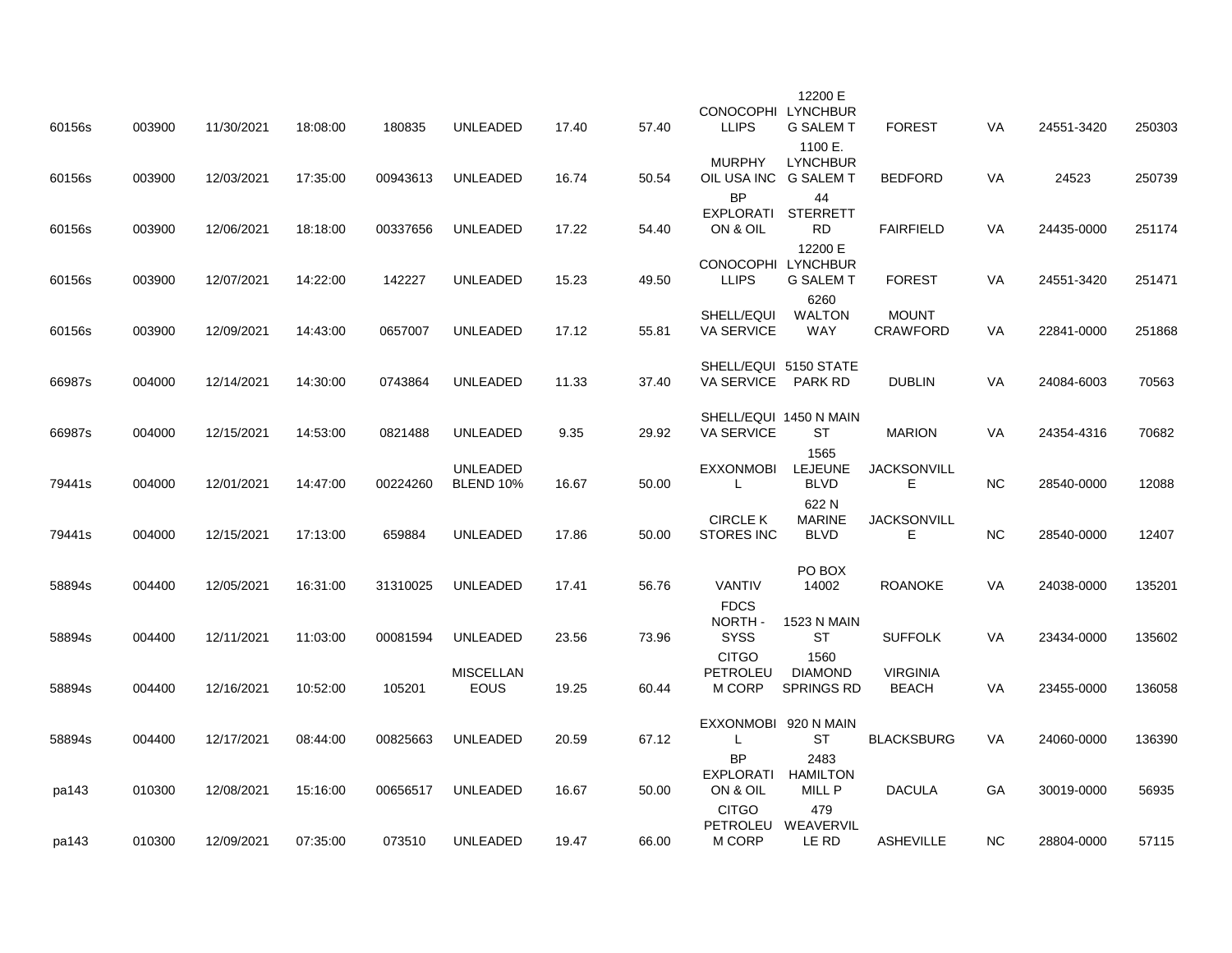| 60156s | 003900 | 11/30/2021 | 18:08:00 | 180835   | <b>UNLEADED</b>                     | 17.40 | 57.40 | CONOCOPHI LYNCHBUR<br><b>LLIPS</b>          | 12200 E<br><b>G SALEM T</b>                    | <b>FOREST</b>                   | VA        | 24551-3420 | 250303 |
|--------|--------|------------|----------|----------|-------------------------------------|-------|-------|---------------------------------------------|------------------------------------------------|---------------------------------|-----------|------------|--------|
| 60156s | 003900 | 12/03/2021 | 17:35:00 | 00943613 | <b>UNLEADED</b>                     | 16.74 | 50.54 | <b>MURPHY</b><br>OIL USA INC                | 1100 E.<br><b>LYNCHBUR</b><br><b>G SALEM T</b> | <b>BEDFORD</b>                  | <b>VA</b> | 24523      | 250739 |
| 60156s | 003900 | 12/06/2021 | 18:18:00 | 00337656 | <b>UNLEADED</b>                     | 17.22 | 54.40 | <b>BP</b><br>EXPLORATI<br>ON & OIL          | 44<br><b>STERRETT</b><br><b>RD</b>             | <b>FAIRFIELD</b>                | <b>VA</b> | 24435-0000 | 251174 |
| 60156s | 003900 | 12/07/2021 | 14:22:00 | 142227   | <b>UNLEADED</b>                     | 15.23 | 49.50 | CONOCOPHI LYNCHBUR<br><b>LLIPS</b>          | 12200 E<br><b>G SALEM T</b>                    | <b>FOREST</b>                   | VA        | 24551-3420 | 251471 |
| 60156s | 003900 | 12/09/2021 | 14:43:00 | 0657007  | UNLEADED                            | 17.12 | 55.81 | SHELL/EQUI<br><b>VA SERVICE</b>             | 6260<br><b>WALTON</b><br><b>WAY</b>            | <b>MOUNT</b><br><b>CRAWFORD</b> | VA        | 22841-0000 | 251868 |
| 66987s | 004000 | 12/14/2021 | 14:30:00 | 0743864  | <b>UNLEADED</b>                     | 11.33 | 37.40 | SHELL/EQUI 5150 STATE<br><b>VA SERVICE</b>  | <b>PARK RD</b>                                 | <b>DUBLIN</b>                   | VA        | 24084-6003 | 70563  |
| 66987s | 004000 | 12/15/2021 | 14:53:00 | 0821488  | <b>UNLEADED</b>                     | 9.35  | 29.92 | SHELL/EQUI 1450 N MAIN<br><b>VA SERVICE</b> | ST<br>1565                                     | <b>MARION</b>                   | VA        | 24354-4316 | 70682  |
| 79441s | 004000 | 12/01/2021 | 14:47:00 | 00224260 | <b>UNLEADED</b><br><b>BLEND 10%</b> | 16.67 | 50.00 | <b>EXXONMOBI</b><br>L                       | <b>LEJEUNE</b><br><b>BLVD</b><br>622 N         | <b>JACKSONVILL</b><br>Е         | NC.       | 28540-0000 | 12088  |
| 79441s | 004000 | 12/15/2021 | 17:13:00 | 659884   | <b>UNLEADED</b>                     | 17.86 | 50.00 | <b>CIRCLE K</b><br><b>STORES INC</b>        | <b>MARINE</b><br><b>BLVD</b>                   | <b>JACKSONVILL</b><br>E         | $NC$      | 28540-0000 | 12407  |
| 58894s | 004400 | 12/05/2021 | 16:31:00 | 31310025 | <b>UNLEADED</b>                     | 17.41 | 56.76 | <b>VANTIV</b><br><b>FDCS</b>                | PO BOX<br>14002                                | <b>ROANOKE</b>                  | <b>VA</b> | 24038-0000 | 135201 |
| 58894s | 004400 | 12/11/2021 | 11:03:00 | 00081594 | UNLEADED                            | 23.56 | 73.96 | NORTH-<br><b>SYSS</b><br><b>CITGO</b>       | <b>1523 N MAIN</b><br>ST<br>1560               | <b>SUFFOLK</b>                  | VA        | 23434-0000 | 135602 |
| 58894s | 004400 | 12/16/2021 | 10:52:00 | 105201   | <b>MISCELLAN</b><br><b>EOUS</b>     | 19.25 | 60.44 | <b>PETROLEU</b><br>M CORP                   | <b>DIAMOND</b><br>SPRINGS RD                   | <b>VIRGINIA</b><br><b>BEACH</b> | VA        | 23455-0000 | 136058 |
| 58894s | 004400 | 12/17/2021 | 08:44:00 | 00825663 | <b>UNLEADED</b>                     | 20.59 | 67.12 | EXXONMOBI 920 N MAIN<br>L<br><b>BP</b>      | ST<br>2483                                     | <b>BLACKSBURG</b>               | VA        | 24060-0000 | 136390 |
| pa143  | 010300 | 12/08/2021 | 15:16:00 | 00656517 | UNLEADED                            | 16.67 | 50.00 | EXPLORATI<br>ON & OIL<br><b>CITGO</b>       | <b>HAMILTON</b><br>MILL P<br>479               | <b>DACULA</b>                   | GA        | 30019-0000 | 56935  |
| pa143  | 010300 | 12/09/2021 | 07:35:00 | 073510   | <b>UNLEADED</b>                     | 19.47 | 66.00 | M CORP                                      | PETROLEU WEAVERVIL<br>LE RD                    | <b>ASHEVILLE</b>                | <b>NC</b> | 28804-0000 | 57115  |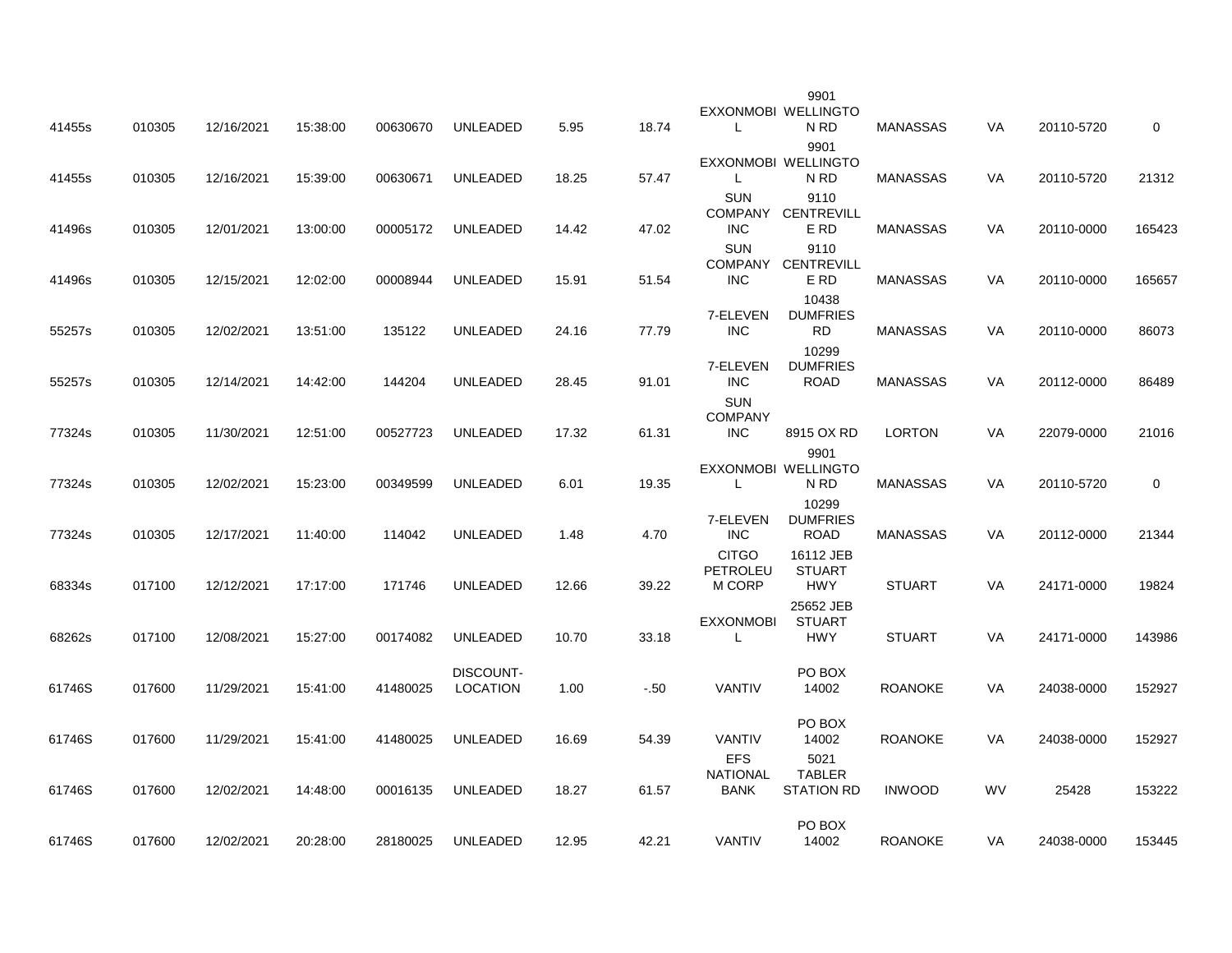| 41455s | 010305 | 12/16/2021 | 15:38:00 | 00630670 | UNLEADED                            | 5.95  | 18.74  | L.                                           | 9901<br>EXXONMOBI WELLINGTO<br>N RD        | <b>MANASSAS</b> | VA        | 20110-5720 | $\mathbf 0$ |
|--------|--------|------------|----------|----------|-------------------------------------|-------|--------|----------------------------------------------|--------------------------------------------|-----------------|-----------|------------|-------------|
| 41455s | 010305 | 12/16/2021 | 15:39:00 | 00630671 | <b>UNLEADED</b>                     | 18.25 | 57.47  | $\mathsf{L}$                                 | 9901<br>EXXONMOBI WELLINGTO<br>N RD        | <b>MANASSAS</b> | VA        | 20110-5720 | 21312       |
| 41496s | 010305 | 12/01/2021 | 13:00:00 | 00005172 | UNLEADED                            | 14.42 | 47.02  | <b>SUN</b><br><b>INC</b>                     | 9110<br>COMPANY CENTREVILL<br>E RD         | MANASSAS        | VA        | 20110-0000 | 165423      |
| 41496s | 010305 | 12/15/2021 | 12:02:00 | 00008944 | <b>UNLEADED</b>                     | 15.91 | 51.54  | <b>SUN</b><br><b>INC</b>                     | 9110<br>COMPANY CENTREVILL<br>E RD         | MANASSAS        | VA        | 20110-0000 | 165657      |
| 55257s | 010305 | 12/02/2021 | 13:51:00 | 135122   | <b>UNLEADED</b>                     | 24.16 | 77.79  | 7-ELEVEN<br><b>INC</b>                       | 10438<br><b>DUMFRIES</b><br><b>RD</b>      | <b>MANASSAS</b> | VA        | 20110-0000 | 86073       |
| 55257s | 010305 | 12/14/2021 | 14:42:00 | 144204   | <b>UNLEADED</b>                     | 28.45 | 91.01  | 7-ELEVEN<br><b>INC</b>                       | 10299<br><b>DUMFRIES</b><br>ROAD           | MANASSAS        | VA        | 20112-0000 | 86489       |
| 77324s | 010305 | 11/30/2021 | 12:51:00 | 00527723 | <b>UNLEADED</b>                     | 17.32 | 61.31  | <b>SUN</b><br><b>COMPANY</b><br><b>INC</b>   | 8915 OX RD                                 | LORTON          | VA        | 22079-0000 | 21016       |
| 77324s | 010305 | 12/02/2021 | 15:23:00 | 00349599 | UNLEADED                            | 6.01  | 19.35  | $\mathsf{L}$                                 | 9901<br>EXXONMOBI WELLINGTO<br>N RD        | MANASSAS        | VA        | 20110-5720 | $\mathbf 0$ |
| 77324s | 010305 | 12/17/2021 | 11:40:00 | 114042   | <b>UNLEADED</b>                     | 1.48  | 4.70   | 7-ELEVEN<br><b>INC</b>                       | 10299<br><b>DUMFRIES</b><br><b>ROAD</b>    | <b>MANASSAS</b> | VA        | 20112-0000 | 21344       |
| 68334s | 017100 | 12/12/2021 | 17:17:00 | 171746   | UNLEADED                            | 12.66 | 39.22  | <b>CITGO</b><br>PETROLEU<br>M CORP           | 16112 JEB<br><b>STUART</b><br><b>HWY</b>   | <b>STUART</b>   | <b>VA</b> | 24171-0000 | 19824       |
| 68262s | 017100 | 12/08/2021 | 15:27:00 | 00174082 | <b>UNLEADED</b>                     | 10.70 | 33.18  | <b>EXXONMOBI</b><br>$\mathsf{L}$             | 25652 JEB<br><b>STUART</b><br><b>HWY</b>   | <b>STUART</b>   | VA        | 24171-0000 | 143986      |
| 61746S | 017600 | 11/29/2021 | 15:41:00 | 41480025 | <b>DISCOUNT-</b><br><b>LOCATION</b> | 1.00  | $-.50$ | VANTIV                                       | PO BOX<br>14002                            | <b>ROANOKE</b>  | <b>VA</b> | 24038-0000 | 152927      |
| 61746S | 017600 | 11/29/2021 | 15:41:00 | 41480025 | <b>UNLEADED</b>                     | 16.69 | 54.39  | <b>VANTIV</b>                                | PO BOX<br>14002                            | <b>ROANOKE</b>  | VA        | 24038-0000 | 152927      |
| 61746S | 017600 | 12/02/2021 | 14:48:00 | 00016135 | UNLEADED                            | 18.27 | 61.57  | <b>EFS</b><br><b>NATIONAL</b><br><b>BANK</b> | 5021<br><b>TABLER</b><br><b>STATION RD</b> | <b>INWOOD</b>   | <b>WV</b> | 25428      | 153222      |
|        |        |            | 20:28:00 |          |                                     |       | 42.21  | <b>VANTIV</b>                                | PO BOX<br>14002                            |                 |           |            | 153445      |
| 61746S | 017600 | 12/02/2021 |          | 28180025 | UNLEADED                            | 12.95 |        |                                              |                                            | <b>ROANOKE</b>  | VA        | 24038-0000 |             |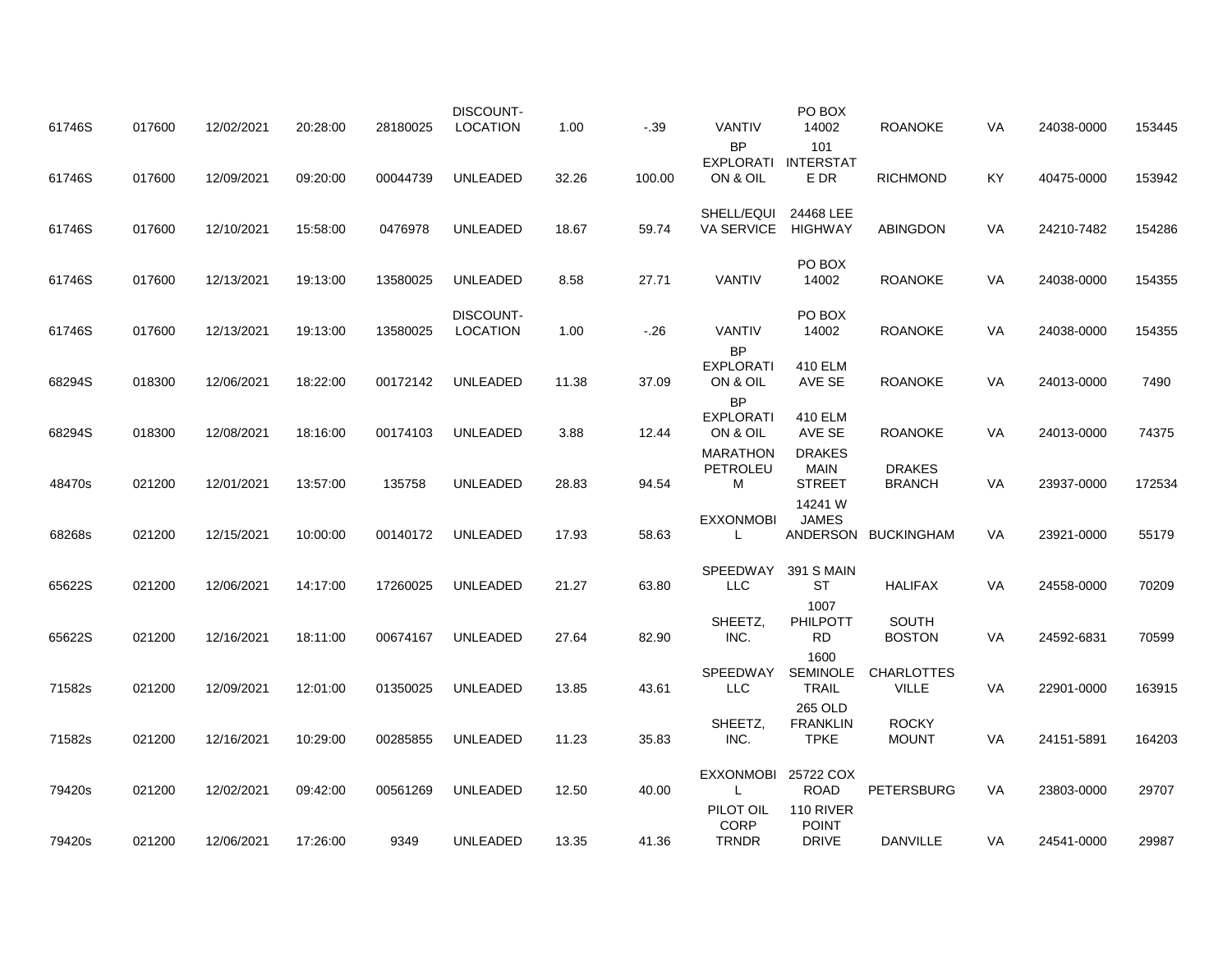| 61746S | 017600 | 12/02/2021 | 20:28:00 | 28180025 | <b>DISCOUNT-</b><br>LOCATION        | 1.00  | $-.39$ | <b>VANTIV</b>                                   | PO BOX<br>14002                           | <b>ROANOKE</b>                    | VA        | 24038-0000 | 153445 |
|--------|--------|------------|----------|----------|-------------------------------------|-------|--------|-------------------------------------------------|-------------------------------------------|-----------------------------------|-----------|------------|--------|
| 61746S | 017600 | 12/09/2021 | 09:20:00 | 00044739 | UNLEADED                            | 32.26 | 100.00 | <b>BP</b><br><b>EXPLORATI</b><br>ON & OIL       | 101<br><b>INTERSTAT</b><br>E DR           | <b>RICHMOND</b>                   | KY        | 40475-0000 | 153942 |
| 61746S | 017600 | 12/10/2021 | 15:58:00 | 0476978  | <b>UNLEADED</b>                     | 18.67 | 59.74  | SHELL/EQUI<br>VA SERVICE                        | 24468 LEE<br><b>HIGHWAY</b>               | <b>ABINGDON</b>                   | <b>VA</b> | 24210-7482 | 154286 |
| 61746S | 017600 | 12/13/2021 | 19:13:00 | 13580025 | UNLEADED                            | 8.58  | 27.71  | <b>VANTIV</b>                                   | PO BOX<br>14002                           | <b>ROANOKE</b>                    | VA        | 24038-0000 | 154355 |
| 61746S | 017600 | 12/13/2021 | 19:13:00 | 13580025 | <b>DISCOUNT-</b><br><b>LOCATION</b> | 1.00  | $-.26$ | VANTIV<br><b>BP</b>                             | PO BOX<br>14002                           | <b>ROANOKE</b>                    | VA        | 24038-0000 | 154355 |
| 68294S | 018300 | 12/06/2021 | 18:22:00 | 00172142 | <b>UNLEADED</b>                     | 11.38 | 37.09  | <b>EXPLORATI</b><br>ON & OIL<br><b>BP</b>       | 410 ELM<br>AVE SE                         | <b>ROANOKE</b>                    | <b>VA</b> | 24013-0000 | 7490   |
| 68294S | 018300 | 12/08/2021 | 18:16:00 | 00174103 | UNLEADED                            | 3.88  | 12.44  | <b>EXPLORATI</b><br>ON & OIL<br><b>MARATHON</b> | 410 ELM<br>AVE SE<br><b>DRAKES</b>        | ROANOKE                           | <b>VA</b> | 24013-0000 | 74375  |
| 48470s | 021200 | 12/01/2021 | 13:57:00 | 135758   | UNLEADED                            | 28.83 | 94.54  | PETROLEU<br>м                                   | <b>MAIN</b><br><b>STREET</b>              | <b>DRAKES</b><br><b>BRANCH</b>    | VA        | 23937-0000 | 172534 |
| 68268s | 021200 | 12/15/2021 | 10:00:00 | 00140172 | <b>UNLEADED</b>                     | 17.93 | 58.63  | <b>EXXONMOBI</b><br>L                           | 14241 W<br><b>JAMES</b>                   | ANDERSON BUCKINGHAM               | <b>VA</b> | 23921-0000 | 55179  |
| 65622S | 021200 | 12/06/2021 | 14:17:00 | 17260025 | <b>UNLEADED</b>                     | 21.27 | 63.80  | SPEEDWAY<br><b>LLC</b>                          | 391 S MAIN<br>ST                          | <b>HALIFAX</b>                    | VA        | 24558-0000 | 70209  |
| 65622S | 021200 | 12/16/2021 | 18:11:00 | 00674167 | <b>UNLEADED</b>                     | 27.64 | 82.90  | SHEETZ,<br>INC.                                 | 1007<br>PHILPOTT<br><b>RD</b>             | <b>SOUTH</b><br><b>BOSTON</b>     | VA        | 24592-6831 | 70599  |
| 71582s | 021200 | 12/09/2021 | 12:01:00 | 01350025 | <b>UNLEADED</b>                     | 13.85 | 43.61  | SPEEDWAY<br><b>LLC</b>                          | 1600<br><b>SEMINOLE</b><br><b>TRAIL</b>   | <b>CHARLOTTES</b><br><b>VILLE</b> | VA        | 22901-0000 | 163915 |
| 71582s | 021200 | 12/16/2021 | 10:29:00 | 00285855 | <b>UNLEADED</b>                     | 11.23 | 35.83  | SHEETZ,<br>INC.                                 | 265 OLD<br><b>FRANKLIN</b><br><b>TPKE</b> | <b>ROCKY</b><br><b>MOUNT</b>      | VA        | 24151-5891 | 164203 |
| 79420s | 021200 | 12/02/2021 | 09:42:00 | 00561269 | <b>UNLEADED</b>                     | 12.50 | 40.00  | EXXONMOBI 25722 COX<br>L                        | <b>ROAD</b>                               | <b>PETERSBURG</b>                 | <b>VA</b> | 23803-0000 | 29707  |
| 79420s | 021200 | 12/06/2021 | 17:26:00 | 9349     | UNLEADED                            | 13.35 | 41.36  | PILOT OIL<br><b>CORP</b><br><b>TRNDR</b>        | 110 RIVER<br><b>POINT</b><br><b>DRIVE</b> | <b>DANVILLE</b>                   | VA        | 24541-0000 | 29987  |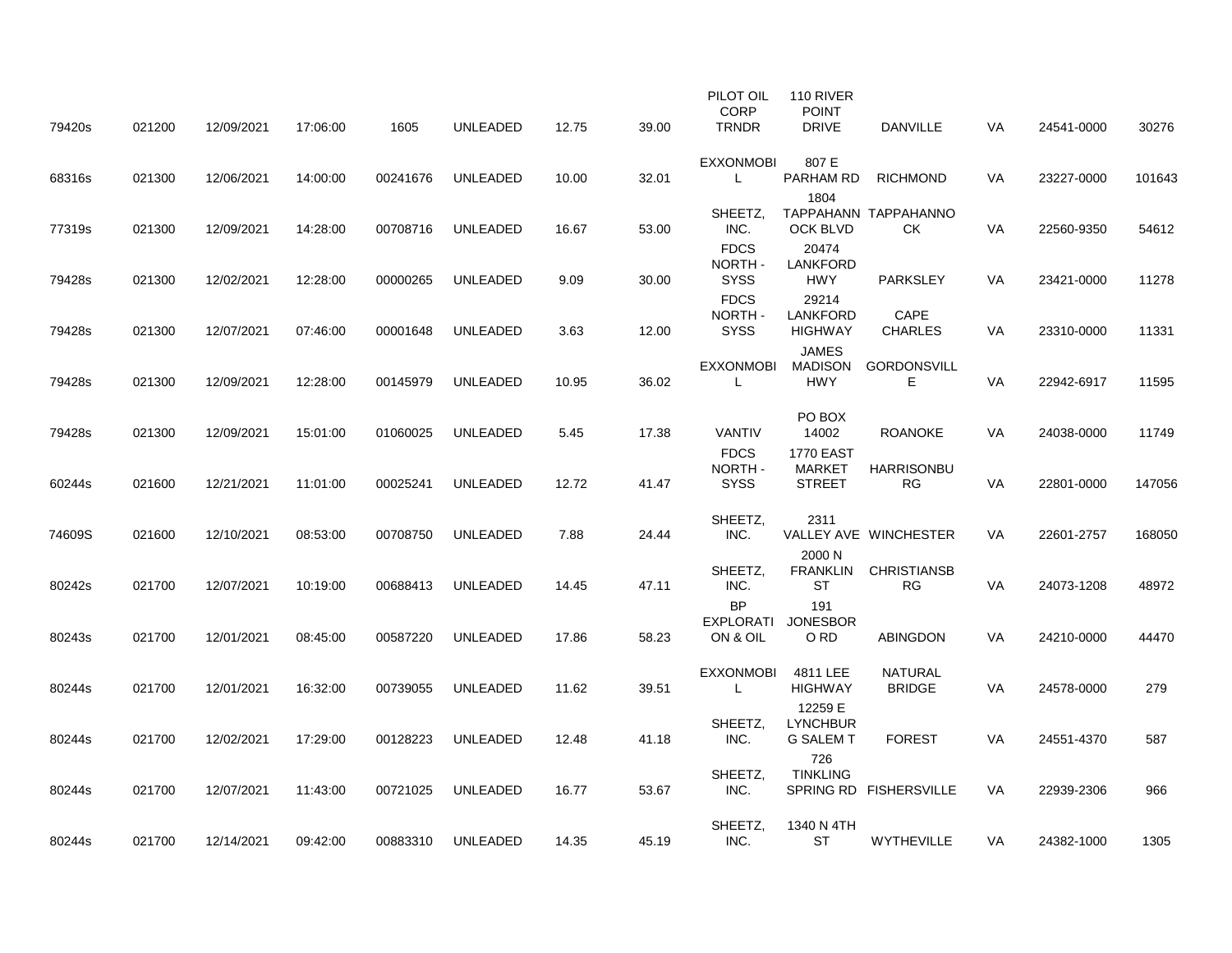| 79420s | 021200 | 12/09/2021 | 17:06:00 | 1605     | <b>UNLEADED</b> | 12.75 | 39.00 | PILOT OIL<br><b>CORP</b><br><b>TRNDR</b>   | 110 RIVER<br><b>POINT</b><br><b>DRIVE</b>          | <b>DANVILLE</b>                 | <b>VA</b> | 24541-0000 | 30276  |
|--------|--------|------------|----------|----------|-----------------|-------|-------|--------------------------------------------|----------------------------------------------------|---------------------------------|-----------|------------|--------|
| 68316s | 021300 | 12/06/2021 | 14:00:00 | 00241676 | UNLEADED        | 10.00 | 32.01 | <b>EXXONMOBI</b><br>L                      | 807 E<br>PARHAM RD                                 | <b>RICHMOND</b>                 | <b>VA</b> | 23227-0000 | 101643 |
| 77319s | 021300 | 12/09/2021 | 14:28:00 | 00708716 | UNLEADED        | 16.67 | 53.00 | SHEETZ,<br>INC.                            | 1804<br><b>OCK BLVD</b>                            | TAPPAHANN TAPPAHANNO<br>CK.     | <b>VA</b> | 22560-9350 | 54612  |
| 79428s | 021300 | 12/02/2021 | 12:28:00 | 00000265 | <b>UNLEADED</b> | 9.09  | 30.00 | <b>FDCS</b><br>NORTH-<br><b>SYSS</b>       | 20474<br><b>LANKFORD</b><br><b>HWY</b>             | <b>PARKSLEY</b>                 | VA        | 23421-0000 | 11278  |
| 79428s | 021300 | 12/07/2021 | 07:46:00 | 00001648 | UNLEADED        | 3.63  | 12.00 | <b>FDCS</b><br><b>NORTH</b><br><b>SYSS</b> | 29214<br><b>LANKFORD</b><br><b>HIGHWAY</b>         | CAPE<br><b>CHARLES</b>          | VA        | 23310-0000 | 11331  |
|        |        |            |          |          |                 |       |       | <b>EXXONMOBI</b>                           | <b>JAMES</b><br>MADISON                            | <b>GORDONSVILL</b>              |           |            |        |
| 79428s | 021300 | 12/09/2021 | 12:28:00 | 00145979 | UNLEADED        | 10.95 | 36.02 | L                                          | <b>HWY</b>                                         | Е                               | VA        | 22942-6917 | 11595  |
| 79428s | 021300 | 12/09/2021 | 15:01:00 | 01060025 | <b>UNLEADED</b> | 5.45  | 17.38 | <b>VANTIV</b>                              | PO BOX<br>14002                                    | <b>ROANOKE</b>                  | VA        | 24038-0000 | 11749  |
| 60244s | 021600 | 12/21/2021 | 11:01:00 | 00025241 | <b>UNLEADED</b> | 12.72 | 41.47 | <b>FDCS</b><br>NORTH-<br><b>SYSS</b>       | <b>1770 EAST</b><br><b>MARKET</b><br><b>STREET</b> | <b>HARRISONBU</b><br><b>RG</b>  | VA        | 22801-0000 | 147056 |
| 74609S | 021600 | 12/10/2021 | 08:53:00 | 00708750 | UNLEADED        | 7.88  | 24.44 | SHEETZ,<br>INC.                            | 2311                                               | VALLEY AVE WINCHESTER           | VA        | 22601-2757 | 168050 |
| 80242s | 021700 | 12/07/2021 | 10:19:00 | 00688413 | UNLEADED        | 14.45 | 47.11 | SHEETZ,<br>INC.                            | 2000 N<br><b>ST</b>                                | FRANKLIN CHRISTIANSB<br>RG      | VA        | 24073-1208 | 48972  |
| 80243s | 021700 | 12/01/2021 | 08:45:00 | 00587220 | <b>UNLEADED</b> | 17.86 | 58.23 | <b>BP</b><br><b>EXPLORATI</b><br>ON & OIL  | 191<br><b>JONESBOR</b><br>O RD                     | <b>ABINGDON</b>                 | VA        | 24210-0000 | 44470  |
|        |        |            |          |          |                 |       |       |                                            |                                                    |                                 |           |            |        |
| 80244s | 021700 | 12/01/2021 | 16:32:00 | 00739055 | UNLEADED        | 11.62 | 39.51 | <b>EXXONMOBI</b><br>L                      | 4811 LEE<br><b>HIGHWAY</b>                         | <b>NATURAL</b><br><b>BRIDGE</b> | VA.       | 24578-0000 | 279    |
| 80244s | 021700 | 12/02/2021 | 17:29:00 | 00128223 | UNLEADED        | 12.48 | 41.18 | SHEETZ,<br>INC.                            | 12259 E<br><b>LYNCHBUR</b><br><b>G SALEM T</b>     | <b>FOREST</b>                   | VA        | 24551-4370 | 587    |
| 80244s | 021700 | 12/07/2021 | 11:43:00 | 00721025 | <b>UNLEADED</b> | 16.77 | 53.67 | SHEETZ,<br>INC.                            | 726<br><b>TINKLING</b>                             | SPRING RD FISHERSVILLE          | <b>VA</b> | 22939-2306 | 966    |
|        |        |            |          |          |                 |       |       |                                            |                                                    |                                 |           |            |        |
| 80244s | 021700 | 12/14/2021 | 09:42:00 | 00883310 | UNLEADED        | 14.35 | 45.19 | SHEETZ.<br>INC.                            | 1340 N 4TH<br>ST                                   | WYTHEVILLE                      | VA        | 24382-1000 | 1305   |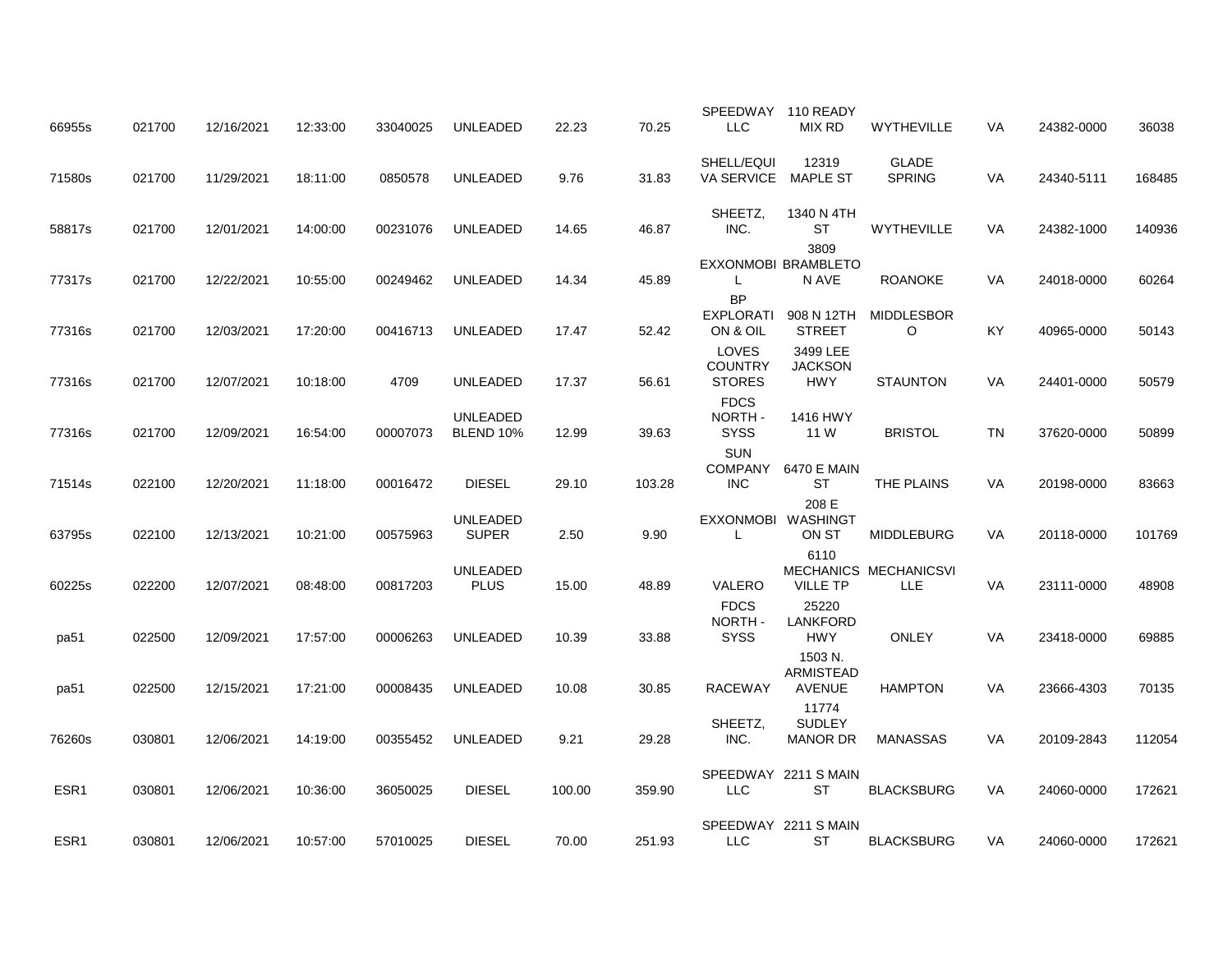| 66955s | 021700 | 12/16/2021 | 12:33:00 | 33040025 | <b>UNLEADED</b>                     | 22.23  | 70.25  | SPEEDWAY 110 READY<br><b>LLC</b>          | MIX RD                      | WYTHEVILLE                    | VA        | 24382-0000 | 36038  |
|--------|--------|------------|----------|----------|-------------------------------------|--------|--------|-------------------------------------------|-----------------------------|-------------------------------|-----------|------------|--------|
|        |        |            |          |          |                                     |        |        |                                           |                             |                               |           |            |        |
| 71580s | 021700 | 11/29/2021 | 18:11:00 | 0850578  | <b>UNLEADED</b>                     | 9.76   | 31.83  | SHELL/EQUI<br>VA SERVICE MAPLE ST         | 12319                       | <b>GLADE</b><br><b>SPRING</b> | <b>VA</b> | 24340-5111 | 168485 |
| 58817s | 021700 | 12/01/2021 | 14:00:00 | 00231076 | <b>UNLEADED</b>                     | 14.65  | 46.87  | SHEETZ,<br>INC.                           | 1340 N 4TH<br><b>ST</b>     | <b>WYTHEVILLE</b>             | VA        | 24382-1000 | 140936 |
|        |        |            |          |          |                                     |        |        |                                           | 3809<br>EXXONMOBI BRAMBLETO |                               |           |            |        |
| 77317s | 021700 | 12/22/2021 | 10:55:00 | 00249462 | <b>UNLEADED</b>                     | 14.34  | 45.89  | L                                         | N AVE                       | <b>ROANOKE</b>                | VA        | 24018-0000 | 60264  |
| 77316s | 021700 | 12/03/2021 | 17:20:00 | 00416713 | UNLEADED                            | 17.47  | 52.42  | <b>BP</b><br><b>EXPLORATI</b><br>ON & OIL | 908 N 12TH<br><b>STREET</b> | <b>MIDDLESBOR</b><br>$\circ$  | KY        | 40965-0000 | 50143  |
|        |        |            |          |          |                                     |        |        | LOVES                                     | 3499 LEE                    |                               |           |            |        |
| 77316s | 021700 | 12/07/2021 | 10:18:00 | 4709     | <b>UNLEADED</b>                     | 17.37  | 56.61  | <b>COUNTRY</b><br><b>STORES</b>           | <b>JACKSON</b><br>HWY       | <b>STAUNTON</b>               | <b>VA</b> | 24401-0000 | 50579  |
| 77316s | 021700 | 12/09/2021 | 16:54:00 | 00007073 | <b>UNLEADED</b><br><b>BLEND 10%</b> | 12.99  | 39.63  | <b>FDCS</b><br>NORTH-<br><b>SYSS</b>      | 1416 HWY<br>11 W            | <b>BRISTOL</b>                | <b>TN</b> | 37620-0000 | 50899  |
|        |        |            |          |          |                                     |        |        | <b>SUN</b>                                |                             |                               |           |            |        |
| 71514s | 022100 | 12/20/2021 | 11:18:00 | 00016472 | <b>DIESEL</b>                       | 29.10  | 103.28 | COMPANY<br><b>INC</b>                     | 6470 E MAIN<br>ST           | THE PLAINS                    | VA        | 20198-0000 | 83663  |
|        |        |            |          |          | UNLEADED                            |        |        | EXXONMOBI WASHINGT                        | 208 E                       |                               |           |            |        |
| 63795s | 022100 | 12/13/2021 | 10:21:00 | 00575963 | <b>SUPER</b>                        | 2.50   | 9.90   | L                                         | ON ST<br>6110               | <b>MIDDLEBURG</b>             | VA        | 20118-0000 | 101769 |
| 60225s | 022200 | 12/07/2021 | 08:48:00 | 00817203 | <b>UNLEADED</b><br><b>PLUS</b>      | 15.00  | 48.89  | VALERO                                    | <b>VILLE TP</b>             | MECHANICS MECHANICSVI<br>LLE. | VA        | 23111-0000 | 48908  |
|        |        |            |          |          |                                     |        |        | <b>FDCS</b><br>NORTH-                     | 25220<br><b>LANKFORD</b>    |                               |           |            |        |
| pa51   | 022500 | 12/09/2021 | 17:57:00 | 00006263 | <b>UNLEADED</b>                     | 10.39  | 33.88  | <b>SYSS</b>                               | <b>HWY</b>                  | <b>ONLEY</b>                  | <b>VA</b> | 23418-0000 | 69885  |
|        |        |            |          |          |                                     |        |        |                                           | 1503 N.<br>ARMISTEAD        |                               |           |            |        |
| pa51   | 022500 | 12/15/2021 | 17:21:00 | 00008435 | UNLEADED                            | 10.08  | 30.85  | <b>RACEWAY</b>                            | <b>AVENUE</b>               | <b>HAMPTON</b>                | VA        | 23666-4303 | 70135  |
|        |        |            |          |          |                                     |        |        | SHEETZ,                                   | 11774<br><b>SUDLEY</b>      |                               |           |            |        |
| 76260s | 030801 | 12/06/2021 | 14:19:00 | 00355452 | <b>UNLEADED</b>                     | 9.21   | 29.28  | INC.                                      | <b>MANOR DR</b>             | <b>MANASSAS</b>               | <b>VA</b> | 20109-2843 | 112054 |
|        |        |            |          |          |                                     |        |        |                                           | SPEEDWAY 2211 S MAIN        |                               |           |            |        |
| ESR1   | 030801 | 12/06/2021 | 10:36:00 | 36050025 | <b>DIESEL</b>                       | 100.00 | 359.90 | <b>LLC</b>                                | <b>ST</b>                   | <b>BLACKSBURG</b>             | <b>VA</b> | 24060-0000 | 172621 |
|        |        |            |          |          |                                     |        |        |                                           | SPEEDWAY 2211 S MAIN        |                               |           |            |        |
| ESR1   | 030801 | 12/06/2021 | 10:57:00 | 57010025 | <b>DIESEL</b>                       | 70.00  | 251.93 | LLC                                       | ST                          | <b>BLACKSBURG</b>             | VA        | 24060-0000 | 172621 |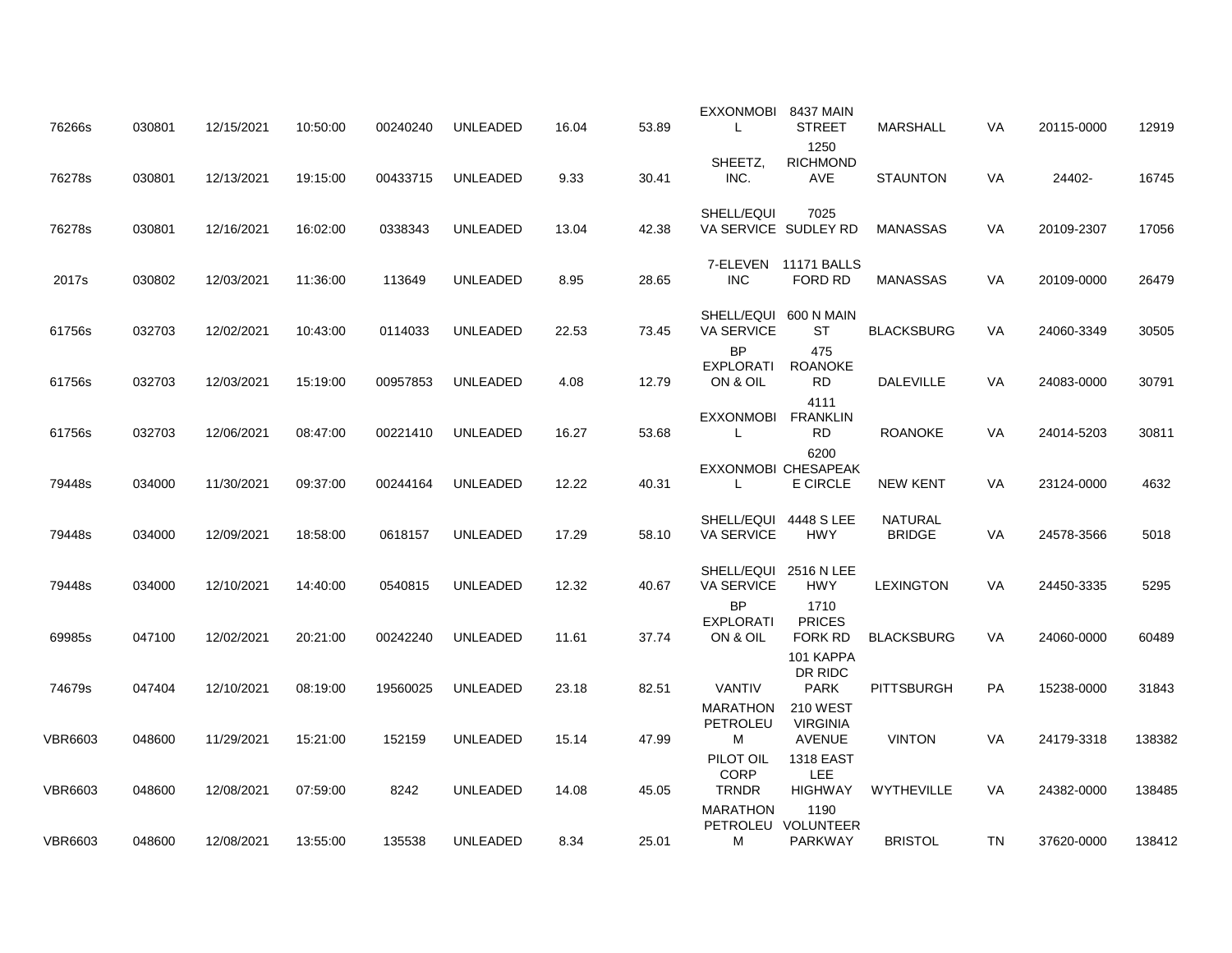| 76266s         | 030801 | 12/15/2021 | 10:50:00 | 00240240 | <b>UNLEADED</b> | 16.04 | 53.89 | <b>EXXONMOBI</b><br>L                                   | 8437 MAIN<br><b>STREET</b>                          | <b>MARSHALL</b>                 | <b>VA</b> | 20115-0000 | 12919  |
|----------------|--------|------------|----------|----------|-----------------|-------|-------|---------------------------------------------------------|-----------------------------------------------------|---------------------------------|-----------|------------|--------|
| 76278s         | 030801 | 12/13/2021 | 19:15:00 | 00433715 | UNLEADED        | 9.33  | 30.41 | SHEETZ,<br>INC.                                         | 1250<br><b>RICHMOND</b><br>AVE                      | <b>STAUNTON</b>                 | VA        | 24402-     | 16745  |
| 76278s         | 030801 | 12/16/2021 | 16:02:00 | 0338343  | UNLEADED        | 13.04 | 42.38 | SHELL/EQUI<br>VA SERVICE SUDLEY RD                      | 7025                                                | MANASSAS                        | VA        | 20109-2307 | 17056  |
| 2017s          | 030802 | 12/03/2021 | 11:36:00 | 113649   | UNLEADED        | 8.95  | 28.65 | <b>INC</b>                                              | 7-ELEVEN 11171 BALLS<br>FORD RD                     | <b>MANASSAS</b>                 | VA        | 20109-0000 | 26479  |
| 61756s         | 032703 | 12/02/2021 | 10:43:00 | 0114033  | UNLEADED        | 22.53 | 73.45 | SHELL/EQUI<br>VA SERVICE<br><b>BP</b>                   | 600 N MAIN<br>ST<br>475                             | <b>BLACKSBURG</b>               | VA        | 24060-3349 | 30505  |
| 61756s         | 032703 | 12/03/2021 | 15:19:00 | 00957853 | <b>UNLEADED</b> | 4.08  | 12.79 | <b>EXPLORATI</b><br>ON & OIL                            | <b>ROANOKE</b><br><b>RD</b><br>4111                 | <b>DALEVILLE</b>                | VA        | 24083-0000 | 30791  |
| 61756s         | 032703 | 12/06/2021 | 08:47:00 | 00221410 | UNLEADED        | 16.27 | 53.68 | <b>EXXONMOBI</b>                                        | <b>FRANKLIN</b><br>RD<br>6200                       | <b>ROANOKE</b>                  | VA        | 24014-5203 | 30811  |
| 79448s         | 034000 | 11/30/2021 | 09:37:00 | 00244164 | <b>UNLEADED</b> | 12.22 | 40.31 | EXXONMOBI CHESAPEAK<br>L                                | E CIRCLE                                            | <b>NEW KENT</b>                 | VA        | 23124-0000 | 4632   |
| 79448s         | 034000 | 12/09/2021 | 18:58:00 | 0618157  | <b>UNLEADED</b> | 17.29 | 58.10 | SHELL/EQUI 4448 S LEE<br>VA SERVICE                     | <b>HWY</b>                                          | <b>NATURAL</b><br><b>BRIDGE</b> | VA        | 24578-3566 | 5018   |
| 79448s         | 034000 | 12/10/2021 | 14:40:00 | 0540815  | <b>UNLEADED</b> | 12.32 | 40.67 | SHELL/EQUI 2516 N LEE<br><b>VA SERVICE</b><br><b>BP</b> | <b>HWY</b><br>1710                                  | <b>LEXINGTON</b>                | VA        | 24450-3335 | 5295   |
| 69985s         | 047100 | 12/02/2021 | 20:21:00 | 00242240 | <b>UNLEADED</b> | 11.61 | 37.74 | <b>EXPLORATI</b><br>ON & OIL                            | <b>PRICES</b><br><b>FORK RD</b>                     | <b>BLACKSBURG</b>               | VA        | 24060-0000 | 60489  |
| 74679s         | 047404 | 12/10/2021 | 08:19:00 | 19560025 | UNLEADED        | 23.18 | 82.51 | <b>VANTIV</b>                                           | 101 KAPPA<br>DR RIDC<br><b>PARK</b>                 | <b>PITTSBURGH</b>               | PA        | 15238-0000 | 31843  |
| <b>VBR6603</b> | 048600 | 11/29/2021 | 15:21:00 | 152159   | <b>UNLEADED</b> | 15.14 | 47.99 | <b>MARATHON</b><br>PETROLEU<br>М                        | <b>210 WEST</b><br><b>VIRGINIA</b><br><b>AVENUE</b> | <b>VINTON</b>                   | VA        | 24179-3318 | 138382 |
| <b>VBR6603</b> | 048600 | 12/08/2021 | 07:59:00 | 8242     | <b>UNLEADED</b> | 14.08 | 45.05 | PILOT OIL<br><b>CORP</b><br><b>TRNDR</b>                | <b>1318 EAST</b><br><b>LEE</b><br><b>HIGHWAY</b>    | WYTHEVILLE                      | <b>VA</b> | 24382-0000 | 138485 |
| <b>VBR6603</b> | 048600 | 12/08/2021 | 13:55:00 | 135538   | UNLEADED        | 8.34  | 25.01 | <b>MARATHON</b><br>м                                    | 1190<br>PETROLEU VOLUNTEER<br><b>PARKWAY</b>        | <b>BRISTOL</b>                  | TN        | 37620-0000 | 138412 |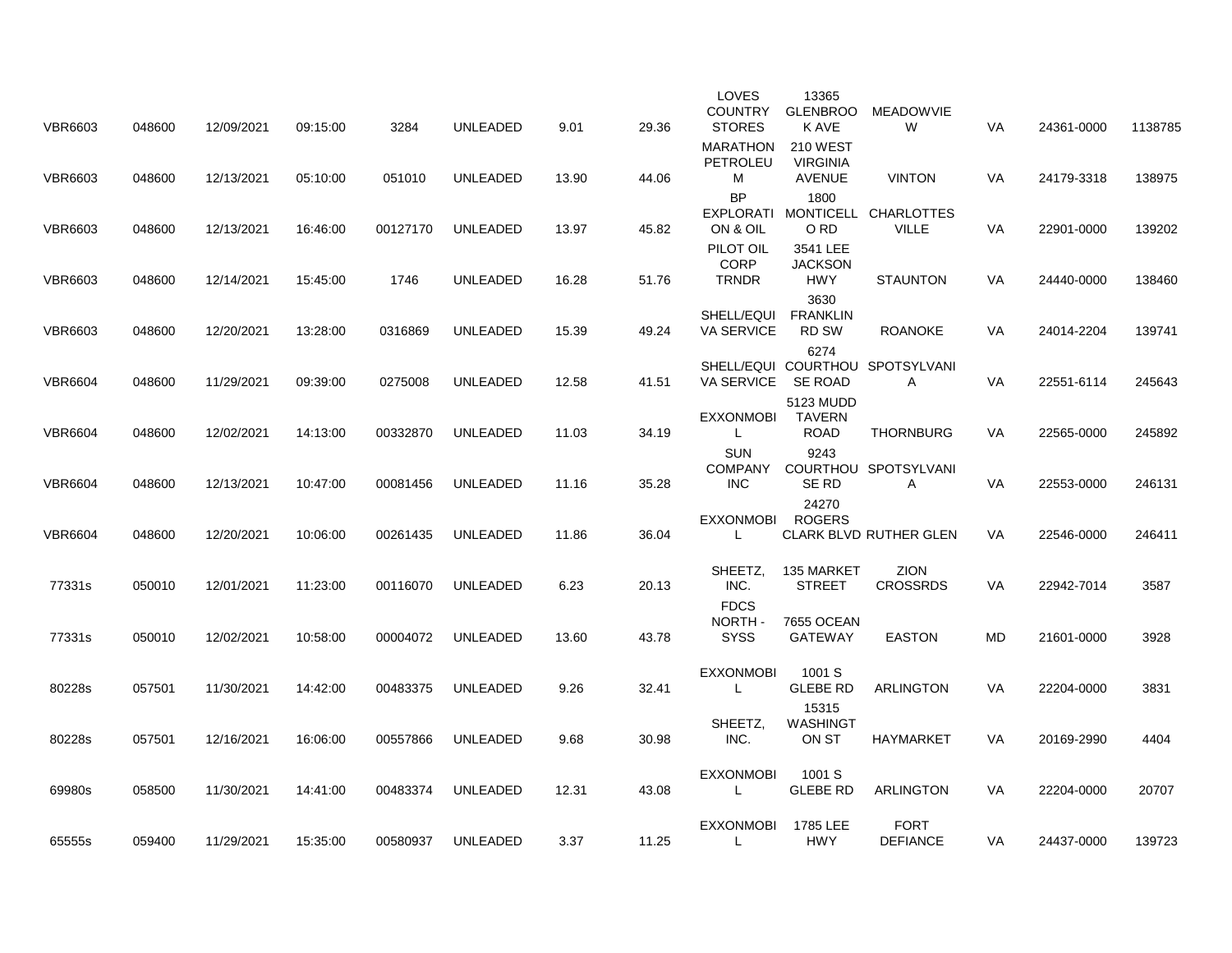| <b>VBR6603</b> | 048600 | 12/09/2021 | 09:15:00 | 3284     | UNLEADED        | 9.01  | 29.36 | LOVES<br><b>COUNTRY</b><br><b>STORES</b>   | 13365<br><b>GLENBROO</b><br>K AVE                   | MEADOWVIE<br>W                       | <b>VA</b> | 24361-0000 | 1138785 |
|----------------|--------|------------|----------|----------|-----------------|-------|-------|--------------------------------------------|-----------------------------------------------------|--------------------------------------|-----------|------------|---------|
| <b>VBR6603</b> | 048600 | 12/13/2021 | 05:10:00 | 051010   | UNLEADED        | 13.90 | 44.06 | <b>MARATHON</b><br>PETROLEU<br>M           | <b>210 WEST</b><br><b>VIRGINIA</b><br><b>AVENUE</b> | <b>VINTON</b>                        | VA        | 24179-3318 | 138975  |
| <b>VBR6603</b> | 048600 | 12/13/2021 | 16:46:00 | 00127170 | <b>UNLEADED</b> | 13.97 | 45.82 | <b>BP</b><br><b>EXPLORATI</b><br>ON & OIL  | 1800<br>O RD                                        | MONTICELL CHARLOTTES<br><b>VILLE</b> | VA        | 22901-0000 | 139202  |
| <b>VBR6603</b> | 048600 | 12/14/2021 | 15:45:00 | 1746     | UNLEADED        | 16.28 | 51.76 | PILOT OIL<br><b>CORP</b><br><b>TRNDR</b>   | 3541 LEE<br><b>JACKSON</b><br><b>HWY</b>            | <b>STAUNTON</b>                      | VA        | 24440-0000 | 138460  |
| <b>VBR6603</b> | 048600 | 12/20/2021 | 13:28:00 | 0316869  | <b>UNLEADED</b> | 15.39 | 49.24 | SHELL/EQUI<br>VA SERVICE                   | 3630<br><b>FRANKLIN</b><br>RD SW                    | <b>ROANOKE</b>                       | VA        | 24014-2204 | 139741  |
| <b>VBR6604</b> | 048600 | 11/29/2021 | 09:39:00 | 0275008  | UNLEADED        | 12.58 | 41.51 | <b>VA SERVICE</b>                          | 6274<br><b>SE ROAD</b>                              | SHELL/EQUI COURTHOU SPOTSYLVANI<br>A | <b>VA</b> | 22551-6114 | 245643  |
| <b>VBR6604</b> | 048600 | 12/02/2021 | 14:13:00 | 00332870 | <b>UNLEADED</b> | 11.03 | 34.19 | <b>EXXONMOBI</b><br>L                      | 5123 MUDD<br><b>TAVERN</b><br><b>ROAD</b>           | <b>THORNBURG</b>                     | <b>VA</b> | 22565-0000 | 245892  |
| <b>VBR6604</b> | 048600 | 12/13/2021 | 10:47:00 | 00081456 | <b>UNLEADED</b> | 11.16 | 35.28 | <b>SUN</b><br><b>COMPANY</b><br><b>INC</b> | 9243<br>SE RD                                       | COURTHOU SPOTSYLVANI<br>Α            | VA        | 22553-0000 | 246131  |
| <b>VBR6604</b> | 048600 | 12/20/2021 | 10:06:00 | 00261435 | <b>UNLEADED</b> | 11.86 | 36.04 | <b>EXXONMOBI</b><br>L                      | 24270<br><b>ROGERS</b>                              | <b>CLARK BLVD RUTHER GLEN</b>        | VA        | 22546-0000 | 246411  |
| 77331s         | 050010 | 12/01/2021 | 11:23:00 | 00116070 | <b>UNLEADED</b> | 6.23  | 20.13 | SHEETZ.<br>INC.                            | 135 MARKET<br><b>STREET</b>                         | <b>ZION</b><br><b>CROSSRDS</b>       | <b>VA</b> | 22942-7014 | 3587    |
| 77331s         | 050010 | 12/02/2021 | 10:58:00 | 00004072 | UNLEADED        | 13.60 | 43.78 | <b>FDCS</b><br>NORTH-<br><b>SYSS</b>       | 7655 OCEAN<br><b>GATEWAY</b>                        | <b>EASTON</b>                        | MD        | 21601-0000 | 3928    |
| 80228s         | 057501 | 11/30/2021 | 14:42:00 | 00483375 | <b>UNLEADED</b> | 9.26  | 32.41 | <b>EXXONMOBI</b><br>L                      | 1001 S<br><b>GLEBE RD</b>                           | <b>ARLINGTON</b>                     | <b>VA</b> | 22204-0000 | 3831    |
| 80228s         | 057501 | 12/16/2021 | 16:06:00 | 00557866 | <b>UNLEADED</b> | 9.68  | 30.98 | SHEETZ.<br>INC.                            | 15315<br><b>WASHINGT</b><br>ON ST                   | <b>HAYMARKET</b>                     | VA        | 20169-2990 | 4404    |
| 69980s         | 058500 | 11/30/2021 | 14:41:00 | 00483374 | <b>UNLEADED</b> | 12.31 | 43.08 | <b>EXXONMOBI</b><br>L                      | 1001 S<br><b>GLEBE RD</b>                           | ARLINGTON                            | VA        | 22204-0000 | 20707   |
| 65555s         | 059400 | 11/29/2021 | 15:35:00 | 00580937 | <b>UNLEADED</b> | 3.37  | 11.25 | <b>EXXONMOBI</b><br>L                      | 1785 LEE<br><b>HWY</b>                              | <b>FORT</b><br><b>DEFIANCE</b>       | VA        | 24437-0000 | 139723  |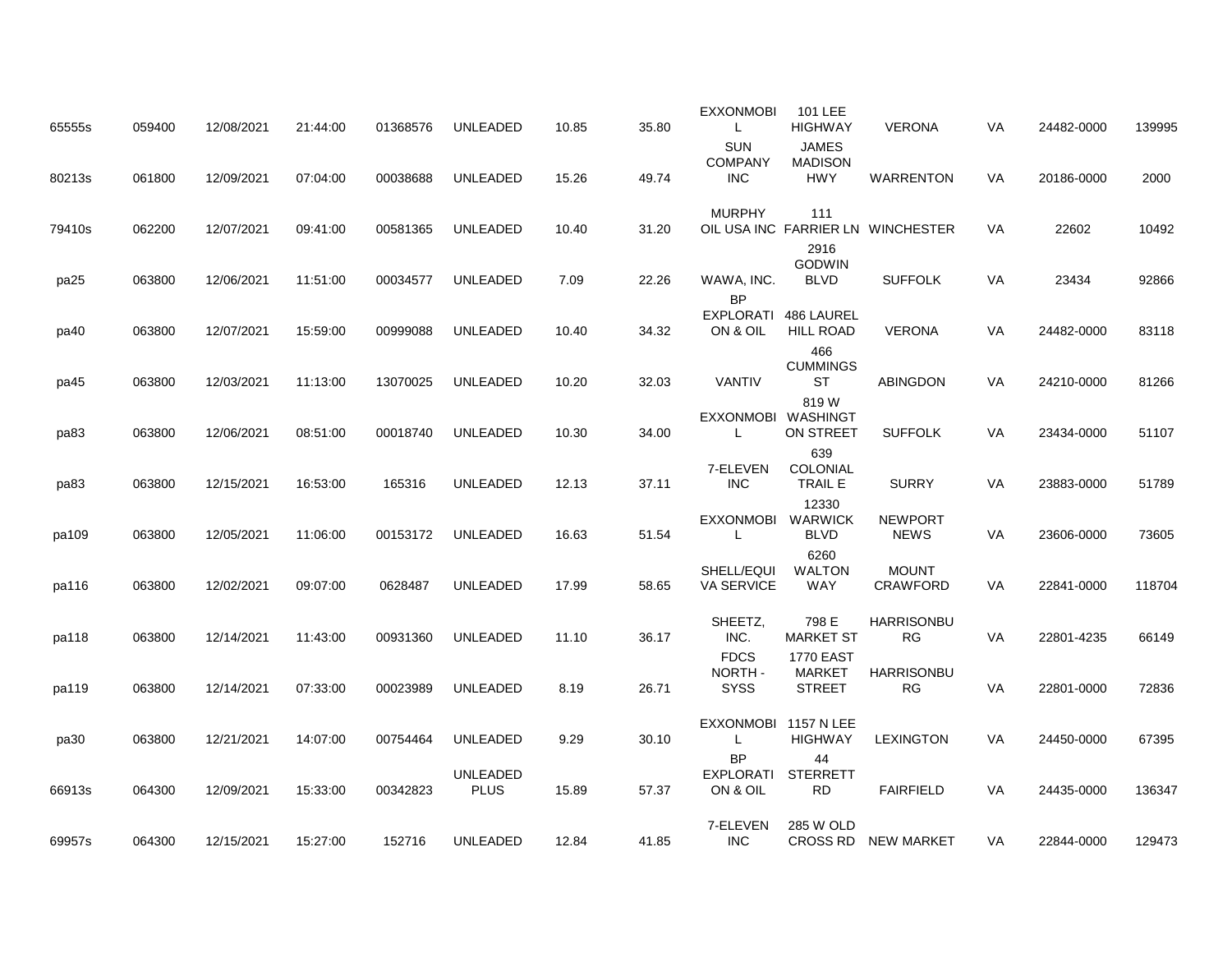| 65555s | 059400 | 12/08/2021 | 21:44:00 | 01368576 | UNLEADED                       | 10.85 | 35.80 | <b>EXXONMOBI</b><br>L                      | 101 LEE<br><b>HIGHWAY</b>              | <b>VERONA</b>                     | VA        | 24482-0000 | 139995 |
|--------|--------|------------|----------|----------|--------------------------------|-------|-------|--------------------------------------------|----------------------------------------|-----------------------------------|-----------|------------|--------|
| 80213s | 061800 | 12/09/2021 | 07:04:00 | 00038688 | UNLEADED                       | 15.26 | 49.74 | <b>SUN</b><br><b>COMPANY</b><br><b>INC</b> | <b>JAMES</b><br><b>MADISON</b><br>HWY  | <b>WARRENTON</b>                  | VA        | 20186-0000 | 2000   |
| 79410s | 062200 | 12/07/2021 | 09:41:00 | 00581365 | UNLEADED                       | 10.40 | 31.20 | <b>MURPHY</b>                              | 111                                    | OIL USA INC FARRIER LN WINCHESTER | VA        | 22602      | 10492  |
| pa25   | 063800 | 12/06/2021 | 11:51:00 | 00034577 | <b>UNLEADED</b>                | 7.09  | 22.26 | WAWA, INC.<br><b>BP</b>                    | 2916<br><b>GODWIN</b><br><b>BLVD</b>   | <b>SUFFOLK</b>                    | VA        | 23434      | 92866  |
| pa40   | 063800 | 12/07/2021 | 15:59:00 | 00999088 | <b>UNLEADED</b>                | 10.40 | 34.32 | <b>EXPLORATI</b><br>ON & OIL               | 486 LAUREL<br><b>HILL ROAD</b>         | <b>VERONA</b>                     | <b>VA</b> | 24482-0000 | 83118  |
| pa45   | 063800 | 12/03/2021 | 11:13:00 | 13070025 | UNLEADED                       | 10.20 | 32.03 | <b>VANTIV</b>                              | 466<br><b>CUMMINGS</b><br>ST           | <b>ABINGDON</b>                   | VA        | 24210-0000 | 81266  |
| pa83   | 063800 | 12/06/2021 | 08:51:00 | 00018740 | <b>UNLEADED</b>                | 10.30 | 34.00 | <b>EXXONMOBI</b><br>L                      | 819 W<br>WASHINGT<br>ON STREET         | <b>SUFFOLK</b>                    | VA        | 23434-0000 | 51107  |
| pa83   | 063800 | 12/15/2021 | 16:53:00 | 165316   | <b>UNLEADED</b>                | 12.13 | 37.11 | 7-ELEVEN<br><b>INC</b>                     | 639<br>COLONIAL<br><b>TRAIL E</b>      | <b>SURRY</b>                      | <b>VA</b> | 23883-0000 | 51789  |
| pa109  | 063800 | 12/05/2021 | 11:06:00 | 00153172 | UNLEADED                       | 16.63 | 51.54 | <b>EXXONMOBI</b><br>L                      | 12330<br><b>WARWICK</b><br><b>BLVD</b> | <b>NEWPORT</b><br><b>NEWS</b>     | VA        | 23606-0000 | 73605  |
| pa116  | 063800 | 12/02/2021 | 09:07:00 | 0628487  | <b>UNLEADED</b>                | 17.99 | 58.65 | SHELL/EQUI<br><b>VA SERVICE</b>            | 6260<br><b>WALTON</b><br><b>WAY</b>    | <b>MOUNT</b><br><b>CRAWFORD</b>   | VA        | 22841-0000 | 118704 |
| pa118  | 063800 | 12/14/2021 | 11:43:00 | 00931360 | <b>UNLEADED</b>                | 11.10 | 36.17 | SHEETZ,<br>INC.                            | 798 E<br><b>MARKET ST</b>              | HARRISONBU<br><b>RG</b>           | VA        | 22801-4235 | 66149  |
|        |        |            |          |          |                                |       |       | <b>FDCS</b><br>NORTH-                      | <b>1770 EAST</b><br><b>MARKET</b>      | <b>HARRISONBU</b>                 |           |            |        |
| pa119  | 063800 | 12/14/2021 | 07:33:00 | 00023989 | UNLEADED                       | 8.19  | 26.71 | <b>SYSS</b><br><b>EXXONMOBI</b>            | <b>STREET</b><br>1157 N LEE            | <b>RG</b>                         | VA        | 22801-0000 | 72836  |
| pa30   | 063800 | 12/21/2021 | 14:07:00 | 00754464 | <b>UNLEADED</b>                | 9.29  | 30.10 | L<br><b>BP</b>                             | <b>HIGHWAY</b><br>44                   | <b>LEXINGTON</b>                  | <b>VA</b> | 24450-0000 | 67395  |
| 66913s | 064300 | 12/09/2021 | 15:33:00 | 00342823 | <b>UNLEADED</b><br><b>PLUS</b> | 15.89 | 57.37 | <b>EXPLORATI</b><br>ON & OIL               | <b>STERRETT</b><br>RD.                 | <b>FAIRFIELD</b>                  | <b>VA</b> | 24435-0000 | 136347 |
| 69957s | 064300 | 12/15/2021 | 15:27:00 | 152716   | <b>UNLEADED</b>                | 12.84 | 41.85 | 7-ELEVEN<br><b>INC</b>                     | 285 W OLD                              | CROSS RD NEW MARKET               | <b>VA</b> | 22844-0000 | 129473 |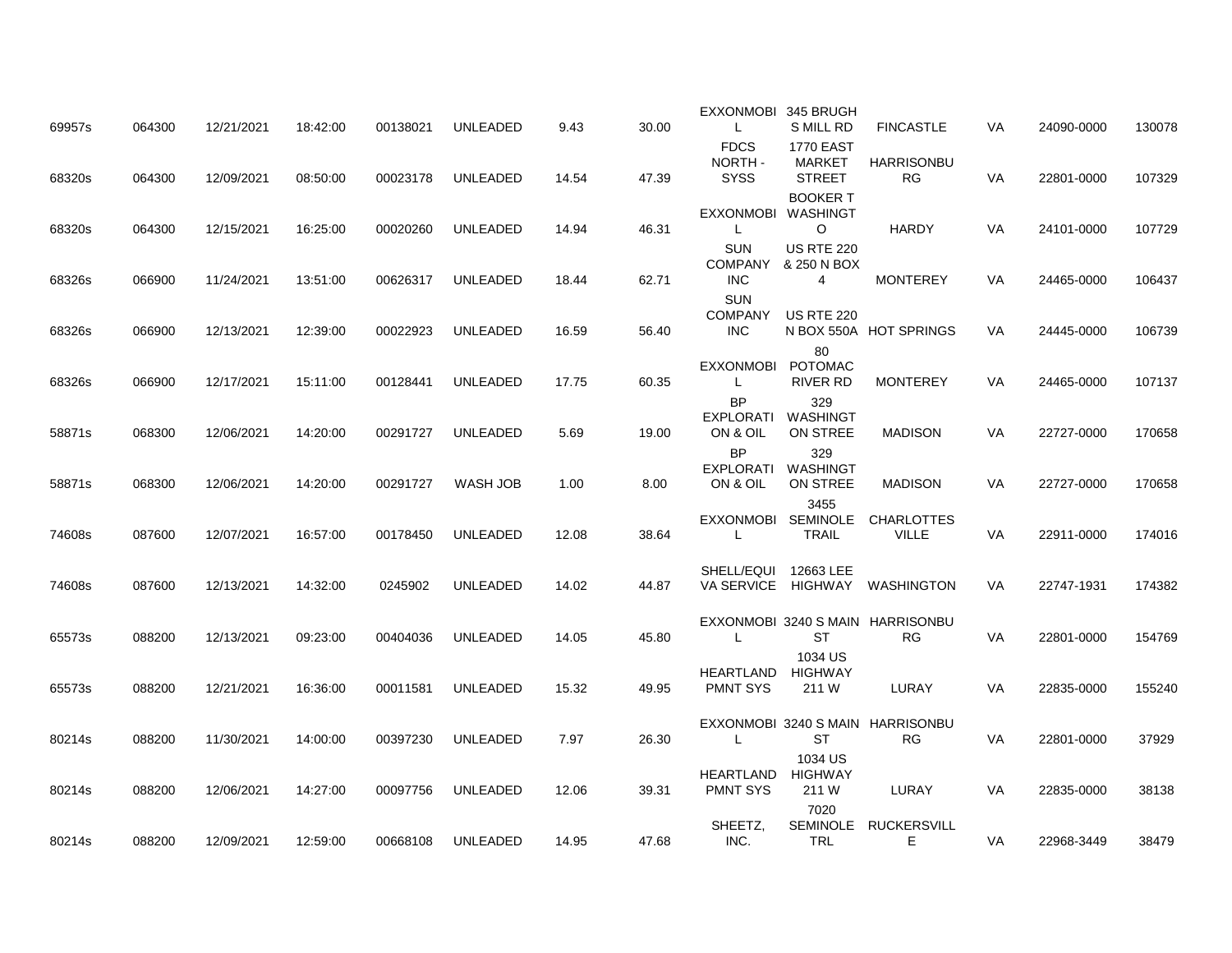| 69957s | 064300 | 12/21/2021 | 18:42:00 | 00138021 | <b>UNLEADED</b> | 9.43  | 30.00 | EXXONMOBI 345 BRUGH<br>L                    | S MILL RD                                          | <b>FINCASTLE</b>                              | VA        | 24090-0000 | 130078 |
|--------|--------|------------|----------|----------|-----------------|-------|-------|---------------------------------------------|----------------------------------------------------|-----------------------------------------------|-----------|------------|--------|
| 68320s | 064300 | 12/09/2021 | 08:50:00 | 00023178 | <b>UNLEADED</b> | 14.54 | 47.39 | <b>FDCS</b><br>NORTH-<br><b>SYSS</b>        | <b>1770 EAST</b><br><b>MARKET</b><br><b>STREET</b> | <b>HARRISONBU</b><br>RG.                      | VA        | 22801-0000 | 107329 |
| 68320s | 064300 | 12/15/2021 | 16:25:00 | 00020260 | <b>UNLEADED</b> | 14.94 | 46.31 | EXXONMOBI WASHINGT<br>L                     | <b>BOOKER T</b><br>$\circ$                         | <b>HARDY</b>                                  | VA        | 24101-0000 | 107729 |
| 68326s | 066900 | 11/24/2021 | 13:51:00 | 00626317 | UNLEADED        | 18.44 | 62.71 | <b>SUN</b><br><b>COMPANY</b><br><b>INC</b>  | <b>US RTE 220</b><br>& 250 N BOX<br>4              | <b>MONTEREY</b>                               | VA        | 24465-0000 | 106437 |
| 68326s | 066900 | 12/13/2021 | 12:39:00 | 00022923 | UNLEADED        | 16.59 | 56.40 | SUN<br><b>COMPANY</b><br><b>INC</b>         | <b>US RTE 220</b>                                  | N BOX 550A HOT SPRINGS                        | VA.       | 24445-0000 | 106739 |
| 68326s | 066900 | 12/17/2021 | 15:11:00 | 00128441 | <b>UNLEADED</b> | 17.75 | 60.35 | <b>EXXONMOBI</b><br>L                       | 80<br><b>POTOMAC</b><br>RIVER RD                   | <b>MONTEREY</b>                               | VA        | 24465-0000 | 107137 |
| 58871s | 068300 | 12/06/2021 | 14:20:00 | 00291727 | <b>UNLEADED</b> | 5.69  | 19.00 | <b>BP</b><br>EXPLORATI<br>ON & OIL          | 329<br>WASHINGT<br>ON STREE                        | <b>MADISON</b>                                | VA        | 22727-0000 | 170658 |
| 58871s | 068300 | 12/06/2021 | 14:20:00 | 00291727 | WASH JOB        | 1.00  | 8.00  | <b>BP</b><br>EXPLORATI WASHINGT<br>ON & OIL | 329<br>ON STREE                                    | <b>MADISON</b>                                | <b>VA</b> | 22727-0000 | 170658 |
| 74608s | 087600 | 12/07/2021 | 16:57:00 | 00178450 | <b>UNLEADED</b> | 12.08 | 38.64 | L                                           | 3455<br><b>TRAIL</b>                               | EXXONMOBI SEMINOLE CHARLOTTES<br><b>VILLE</b> | VA        | 22911-0000 | 174016 |
| 74608s | 087600 | 12/13/2021 | 14:32:00 | 0245902  | <b>UNLEADED</b> | 14.02 | 44.87 | SHELL/EQUI                                  | 12663 LEE                                          | VA SERVICE HIGHWAY WASHINGTON                 | <b>VA</b> | 22747-1931 | 174382 |
| 65573s | 088200 | 12/13/2021 | 09:23:00 | 00404036 | <b>UNLEADED</b> | 14.05 | 45.80 | L                                           | <b>ST</b>                                          | EXXONMOBI 3240 S MAIN HARRISONBU<br><b>RG</b> | VA        | 22801-0000 | 154769 |
| 65573s | 088200 | 12/21/2021 | 16:36:00 | 00011581 | <b>UNLEADED</b> | 15.32 | 49.95 | HEARTLAND HIGHWAY<br><b>PMNT SYS</b>        | 1034 US<br>211 W                                   | LURAY                                         | VA        | 22835-0000 | 155240 |
| 80214s | 088200 | 11/30/2021 | 14:00:00 | 00397230 | <b>UNLEADED</b> | 7.97  | 26.30 | L                                           | <b>ST</b>                                          | EXXONMOBI 3240 S MAIN HARRISONBU<br><b>RG</b> | VA        | 22801-0000 | 37929  |
| 80214s | 088200 | 12/06/2021 | 14:27:00 | 00097756 | <b>UNLEADED</b> | 12.06 | 39.31 | HEARTLAND<br><b>PMNT SYS</b>                | 1034 US<br>HIGHWAY<br>211 W                        | LURAY                                         | VA        | 22835-0000 | 38138  |
| 80214s | 088200 | 12/09/2021 | 12:59:00 | 00668108 | UNLEADED        | 14.95 | 47.68 | SHEETZ,<br>INC.                             | 7020<br>TRL                                        | SEMINOLE RUCKERSVILL<br>E.                    | VA        | 22968-3449 | 38479  |